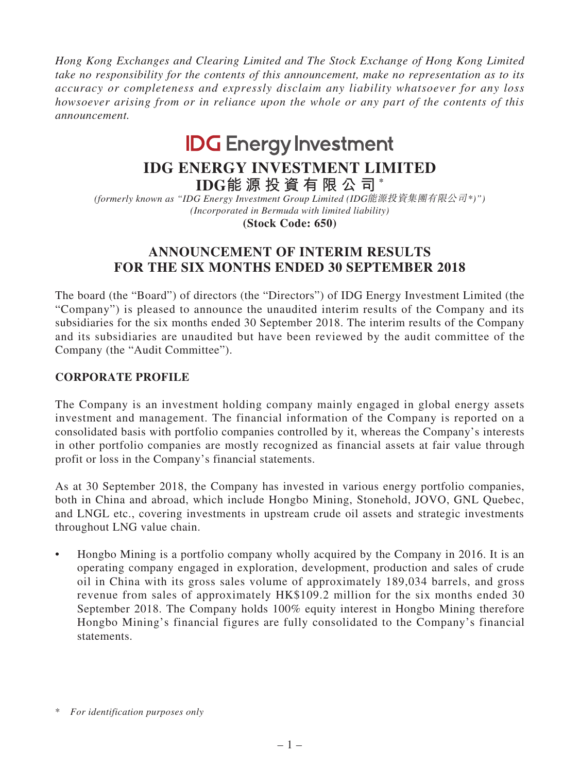*Hong Kong Exchanges and Clearing Limited and The Stock Exchange of Hong Kong Limited take no responsibility for the contents of this announcement, make no representation as to its accuracy or completeness and expressly disclaim any liability whatsoever for any loss howsoever arising from or in reliance upon the whole or any part of the contents of this announcement.*

# **IDG** Energy Investment

# **IDG ENERGY INVESTMENT LIMITED**

**IDG能 源 投 資 有 限 公 司 \***

*(formerly known as "IDG Energy Investment Group Limited (IDG*能源投資集團有限公司*\*)") (Incorporated in Bermuda with limited liability)*

**(Stock Code: 650)**

# **ANNOUNCEMENT OF INTERIM RESULTS FOR THE SIX MONTHS ENDED 30 SEPTEMBER 2018**

The board (the "Board") of directors (the "Directors") of IDG Energy Investment Limited (the "Company") is pleased to announce the unaudited interim results of the Company and its subsidiaries for the six months ended 30 September 2018. The interim results of the Company and its subsidiaries are unaudited but have been reviewed by the audit committee of the Company (the "Audit Committee").

### **CORPORATE PROFILE**

The Company is an investment holding company mainly engaged in global energy assets investment and management. The financial information of the Company is reported on a consolidated basis with portfolio companies controlled by it, whereas the Company's interests in other portfolio companies are mostly recognized as financial assets at fair value through profit or loss in the Company's financial statements.

As at 30 September 2018, the Company has invested in various energy portfolio companies, both in China and abroad, which include Hongbo Mining, Stonehold, JOVO, GNL Quebec, and LNGL etc., covering investments in upstream crude oil assets and strategic investments throughout LNG value chain.

• Hongbo Mining is a portfolio company wholly acquired by the Company in 2016. It is an operating company engaged in exploration, development, production and sales of crude oil in China with its gross sales volume of approximately 189,034 barrels, and gross revenue from sales of approximately HK\$109.2 million for the six months ended 30 September 2018. The Company holds 100% equity interest in Hongbo Mining therefore Hongbo Mining's financial figures are fully consolidated to the Company's financial statements.

<sup>\*</sup> *For identification purposes only*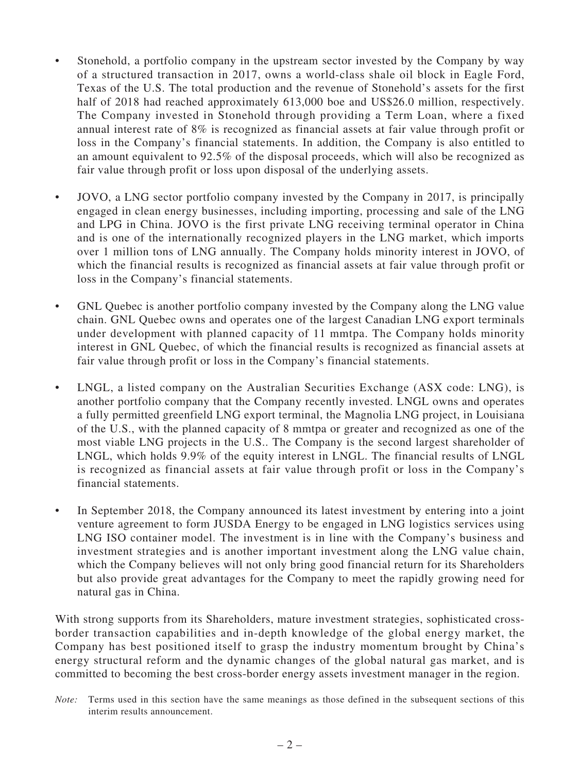- Stonehold, a portfolio company in the upstream sector invested by the Company by way of a structured transaction in 2017, owns a world-class shale oil block in Eagle Ford, Texas of the U.S. The total production and the revenue of Stonehold's assets for the first half of 2018 had reached approximately 613,000 boe and US\$26.0 million, respectively. The Company invested in Stonehold through providing a Term Loan, where a fixed annual interest rate of 8% is recognized as financial assets at fair value through profit or loss in the Company's financial statements. In addition, the Company is also entitled to an amount equivalent to 92.5% of the disposal proceeds, which will also be recognized as fair value through profit or loss upon disposal of the underlying assets.
- JOVO, a LNG sector portfolio company invested by the Company in 2017, is principally engaged in clean energy businesses, including importing, processing and sale of the LNG and LPG in China. JOVO is the first private LNG receiving terminal operator in China and is one of the internationally recognized players in the LNG market, which imports over 1 million tons of LNG annually. The Company holds minority interest in JOVO, of which the financial results is recognized as financial assets at fair value through profit or loss in the Company's financial statements.
- GNL Quebec is another portfolio company invested by the Company along the LNG value chain. GNL Quebec owns and operates one of the largest Canadian LNG export terminals under development with planned capacity of 11 mmtpa. The Company holds minority interest in GNL Quebec, of which the financial results is recognized as financial assets at fair value through profit or loss in the Company's financial statements.
- LNGL, a listed company on the Australian Securities Exchange (ASX code: LNG), is another portfolio company that the Company recently invested. LNGL owns and operates a fully permitted greenfield LNG export terminal, the Magnolia LNG project, in Louisiana of the U.S., with the planned capacity of 8 mmtpa or greater and recognized as one of the most viable LNG projects in the U.S.. The Company is the second largest shareholder of LNGL, which holds 9.9% of the equity interest in LNGL. The financial results of LNGL is recognized as financial assets at fair value through profit or loss in the Company's financial statements.
- In September 2018, the Company announced its latest investment by entering into a joint venture agreement to form JUSDA Energy to be engaged in LNG logistics services using LNG ISO container model. The investment is in line with the Company's business and investment strategies and is another important investment along the LNG value chain, which the Company believes will not only bring good financial return for its Shareholders but also provide great advantages for the Company to meet the rapidly growing need for natural gas in China.

With strong supports from its Shareholders, mature investment strategies, sophisticated crossborder transaction capabilities and in-depth knowledge of the global energy market, the Company has best positioned itself to grasp the industry momentum brought by China's energy structural reform and the dynamic changes of the global natural gas market, and is committed to becoming the best cross-border energy assets investment manager in the region.

*Note:* Terms used in this section have the same meanings as those defined in the subsequent sections of this interim results announcement.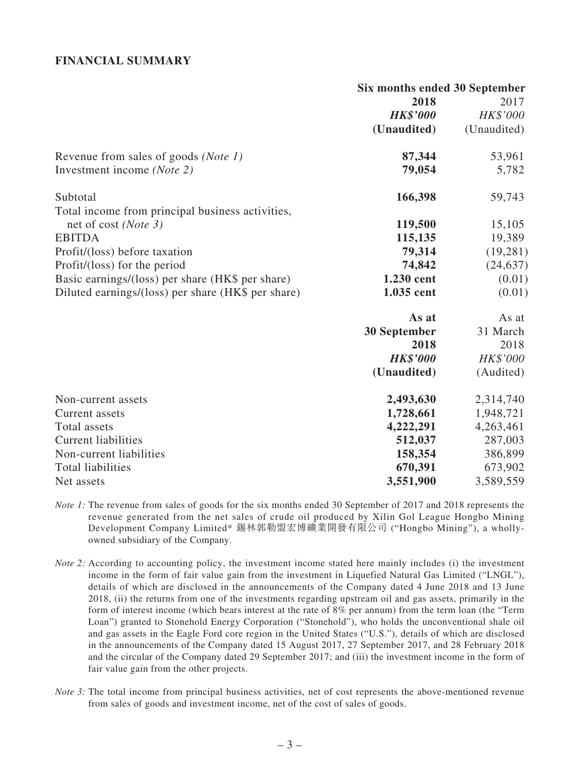#### **FINANCIAL SUMMARY**

|                                                    | Six months ended 30 September |             |
|----------------------------------------------------|-------------------------------|-------------|
|                                                    | 2018                          | 2017        |
|                                                    | <b>HK\$'000</b>               | HK\$'000    |
|                                                    | (Unaudited)                   | (Unaudited) |
| Revenue from sales of goods (Note 1)               | 87,344                        | 53,961      |
| Investment income (Note 2)                         | 79,054                        | 5,782       |
| Subtotal                                           | 166,398                       | 59,743      |
| Total income from principal business activities,   |                               |             |
| net of cost ( <i>Note</i> 3)                       | 119,500                       | 15,105      |
| <b>EBITDA</b>                                      | 115,135                       | 19,389      |
| Profit/(loss) before taxation                      | 79,314                        | (19, 281)   |
| Profit/(loss) for the period                       | 74,842                        | (24, 637)   |
| Basic earnings/(loss) per share (HK\$ per share)   | 1.230 cent                    | (0.01)      |
| Diluted earnings/(loss) per share (HK\$ per share) | 1.035 cent                    | (0.01)      |
|                                                    | As at                         | As at       |
|                                                    | <b>30 September</b>           | 31 March    |
|                                                    | 2018                          | 2018        |
|                                                    | <b>HK\$'000</b>               | HK\$'000    |
|                                                    | (Unaudited)                   | (Audited)   |
| Non-current assets                                 | 2,493,630                     | 2,314,740   |
| Current assets                                     | 1,728,661                     | 1,948,721   |
| Total assets                                       | 4,222,291                     | 4,263,461   |
| <b>Current liabilities</b>                         | 512,037                       | 287,003     |
| Non-current liabilities                            | 158,354                       | 386,899     |
| <b>Total liabilities</b>                           | 670,391                       | 673,902     |
| Net assets                                         | 3,551,900                     | 3,589,559   |

*Note 1*: The revenue from sales of goods for the six months ended 30 September of 2017 and 2018 represents the revenue generated from the net sales of crude oil produced by Xilin Gol League Hongbo Mining Development Company Limited\* 錫林郭勒盟宏博礦業開發有限公司 ("Hongbo Mining"), a whollyowned subsidiary of the Company.

- *Note 2:* According to accounting policy, the investment income stated here mainly includes (i) the investment income in the form of fair value gain from the investment in Liquefied Natural Gas Limited ("LNGL"), details of which are disclosed in the announcements of the Company dated 4 June 2018 and 13 June 2018, (ii) the returns from one of the investments regarding upstream oil and gas assets, primarily in the form of interest income (which bears interest at the rate of 8% per annum) from the term loan (the "Term Loan") granted to Stonehold Energy Corporation ("Stonehold"), who holds the unconventional shale oil and gas assets in the Eagle Ford core region in the United States ("U.S."), details of which are disclosed in the announcements of the Company dated 15 August 2017, 27 September 2017, and 28 February 2018 and the circular of the Company dated 29 September 2017; and (iii) the investment income in the form of fair value gain from the other projects.
- *Note 3*: The total income from principal business activities, net of cost represents the above-mentioned revenue from sales of goods and investment income, net of the cost of sales of goods.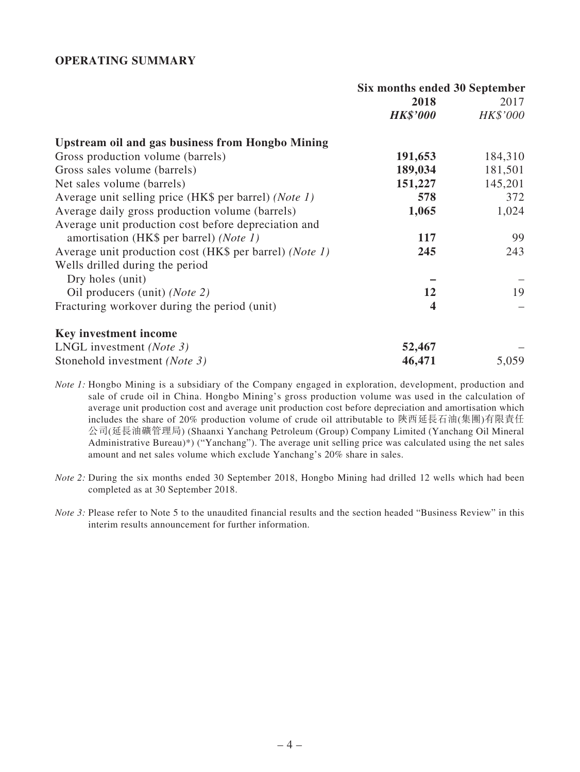#### **OPERATING SUMMARY**

|                                                                | Six months ended 30 September |          |
|----------------------------------------------------------------|-------------------------------|----------|
|                                                                | 2018                          | 2017     |
|                                                                | <i><b>HK\$'000</b></i>        | HK\$'000 |
| <b>Upstream oil and gas business from Hongbo Mining</b>        |                               |          |
| Gross production volume (barrels)                              | 191,653                       | 184,310  |
| Gross sales volume (barrels)                                   | 189,034                       | 181,501  |
| Net sales volume (barrels)                                     | 151,227                       | 145,201  |
| Average unit selling price (HK\$ per barrel) ( <i>Note 1</i> ) | 578                           | 372      |
| Average daily gross production volume (barrels)                | 1,065                         | 1,024    |
| Average unit production cost before depreciation and           |                               |          |
| amortisation (HK\$ per barrel) (Note 1)                        | 117                           | 99       |
| Average unit production cost (HK\$ per barrel) (Note 1)        | 245                           | 243      |
| Wells drilled during the period                                |                               |          |
| Dry holes (unit)                                               |                               |          |
| Oil producers (unit) (Note 2)                                  | 12                            | 19       |
| Fracturing workover during the period (unit)                   | $\overline{\mathbf{4}}$       |          |
| Key investment income                                          |                               |          |
| LNGL investment ( <i>Note 3</i> )                              | 52,467                        |          |
| Stonehold investment (Note 3)                                  | 46,471                        | 5,059    |

*Note 1:* Hongbo Mining is a subsidiary of the Company engaged in exploration, development, production and sale of crude oil in China. Hongbo Mining's gross production volume was used in the calculation of average unit production cost and average unit production cost before depreciation and amortisation which includes the share of 20% production volume of crude oil attributable to 陝西延長石油(集團)有限責任 公司(延長油礦管理局) (Shaanxi Yanchang Petroleum (Group) Company Limited (Yanchang Oil Mineral Administrative Bureau)\*) ("Yanchang"). The average unit selling price was calculated using the net sales amount and net sales volume which exclude Yanchang's 20% share in sales.

- *Note 2:* During the six months ended 30 September 2018, Hongbo Mining had drilled 12 wells which had been completed as at 30 September 2018.
- *Note 3*: Please refer to Note 5 to the unaudited financial results and the section headed "Business Review" in this interim results announcement for further information.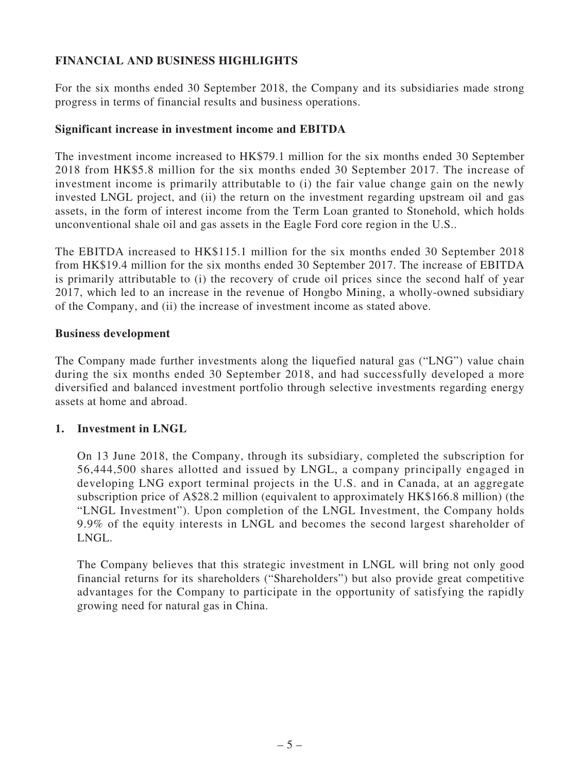## **FINANCIAL AND BUSINESS HIGHLIGHTS**

For the six months ended 30 September 2018, the Company and its subsidiaries made strong progress in terms of financial results and business operations.

#### **Significant increase in investment income and EBITDA**

The investment income increased to HK\$79.1 million for the six months ended 30 September 2018 from HK\$5.8 million for the six months ended 30 September 2017. The increase of investment income is primarily attributable to (i) the fair value change gain on the newly invested LNGL project, and (ii) the return on the investment regarding upstream oil and gas assets, in the form of interest income from the Term Loan granted to Stonehold, which holds unconventional shale oil and gas assets in the Eagle Ford core region in the U.S..

The EBITDA increased to HK\$115.1 million for the six months ended 30 September 2018 from HK\$19.4 million for the six months ended 30 September 2017. The increase of EBITDA is primarily attributable to (i) the recovery of crude oil prices since the second half of year 2017, which led to an increase in the revenue of Hongbo Mining, a wholly-owned subsidiary of the Company, and (ii) the increase of investment income as stated above.

#### **Business development**

The Company made further investments along the liquefied natural gas ("LNG") value chain during the six months ended 30 September 2018, and had successfully developed a more diversified and balanced investment portfolio through selective investments regarding energy assets at home and abroad.

### **1. Investment in LNGL**

On 13 June 2018, the Company, through its subsidiary, completed the subscription for 56,444,500 shares allotted and issued by LNGL, a company principally engaged in developing LNG export terminal projects in the U.S. and in Canada, at an aggregate subscription price of A\$28.2 million (equivalent to approximately HK\$166.8 million) (the "LNGL Investment"). Upon completion of the LNGL Investment, the Company holds 9.9% of the equity interests in LNGL and becomes the second largest shareholder of LNGL.

The Company believes that this strategic investment in LNGL will bring not only good financial returns for its shareholders ("Shareholders") but also provide great competitive advantages for the Company to participate in the opportunity of satisfying the rapidly growing need for natural gas in China.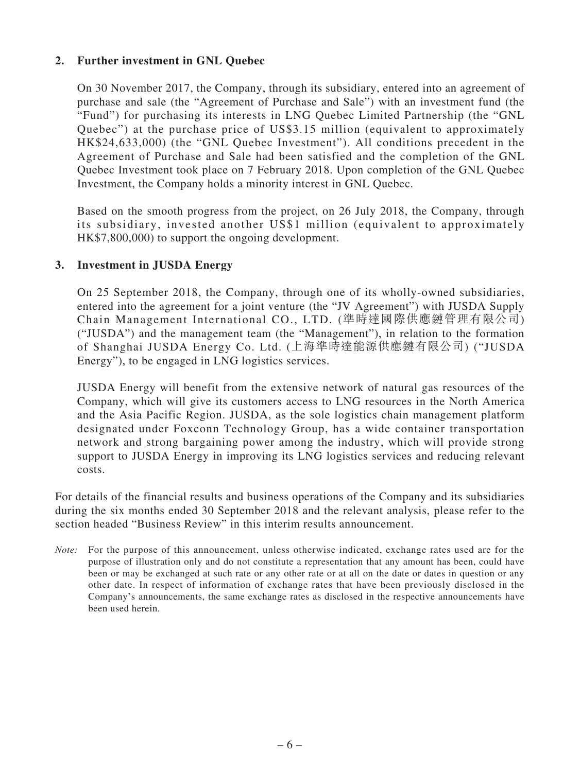### **2. Further investment in GNL Quebec**

On 30 November 2017, the Company, through its subsidiary, entered into an agreement of purchase and sale (the "Agreement of Purchase and Sale") with an investment fund (the "Fund") for purchasing its interests in LNG Quebec Limited Partnership (the "GNL Quebec") at the purchase price of US\$3.15 million (equivalent to approximately HK\$24,633,000) (the "GNL Quebec Investment"). All conditions precedent in the Agreement of Purchase and Sale had been satisfied and the completion of the GNL Quebec Investment took place on 7 February 2018. Upon completion of the GNL Quebec Investment, the Company holds a minority interest in GNL Quebec.

Based on the smooth progress from the project, on 26 July 2018, the Company, through its subsidiary, invested another US\$1 million (equivalent to approximately HK\$7,800,000) to support the ongoing development.

### **3. Investment in JUSDA Energy**

On 25 September 2018, the Company, through one of its wholly-owned subsidiaries, entered into the agreement for a joint venture (the "JV Agreement") with JUSDA Supply Chain Management International CO., LTD. (準時達國際供應鏈管理有限公司) ("JUSDA") and the management team (the "Management"), in relation to the formation of Shanghai JUSDA Energy Co. Ltd. (上海準時達能源供應鏈有限公司) ("JUSDA Energy"), to be engaged in LNG logistics services.

JUSDA Energy will benefit from the extensive network of natural gas resources of the Company, which will give its customers access to LNG resources in the North America and the Asia Pacific Region. JUSDA, as the sole logistics chain management platform designated under Foxconn Technology Group, has a wide container transportation network and strong bargaining power among the industry, which will provide strong support to JUSDA Energy in improving its LNG logistics services and reducing relevant costs.

For details of the financial results and business operations of the Company and its subsidiaries during the six months ended 30 September 2018 and the relevant analysis, please refer to the section headed "Business Review" in this interim results announcement.

*Note:* For the purpose of this announcement, unless otherwise indicated, exchange rates used are for the purpose of illustration only and do not constitute a representation that any amount has been, could have been or may be exchanged at such rate or any other rate or at all on the date or dates in question or any other date. In respect of information of exchange rates that have been previously disclosed in the Company's announcements, the same exchange rates as disclosed in the respective announcements have been used herein.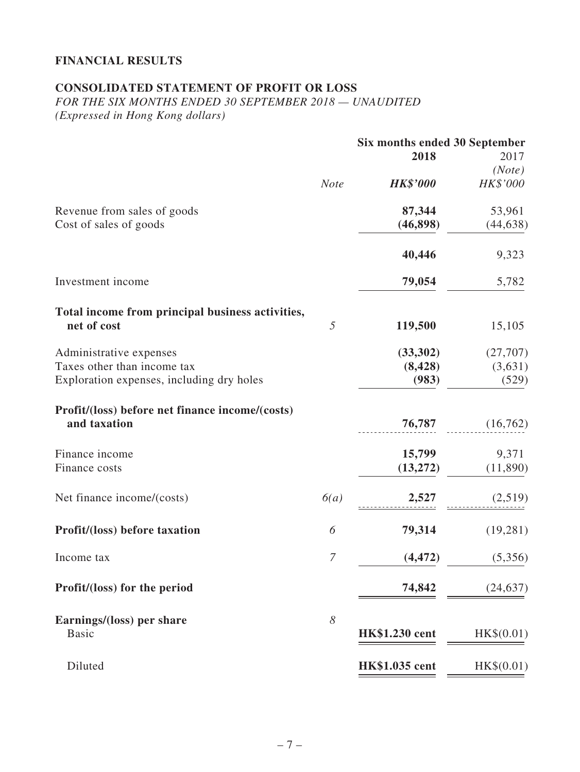### **FINANCIAL RESULTS**

### **CONSOLIDATED STATEMENT OF PROFIT OR LOSS**

*FOR THE SIX MONTHS ENDED 30 SEPTEMBER 2018 — UNAUDITED (Expressed in Hong Kong dollars)*

|                                                                 |                | Six months ended 30 September |            |
|-----------------------------------------------------------------|----------------|-------------------------------|------------|
|                                                                 |                | 2018                          | 2017       |
|                                                                 |                |                               | (Note)     |
|                                                                 | <b>Note</b>    | <b>HK\$'000</b>               | HK\$'000   |
| Revenue from sales of goods                                     |                | 87,344                        | 53,961     |
| Cost of sales of goods                                          |                | (46, 898)                     | (44, 638)  |
|                                                                 |                | 40,446                        | 9,323      |
| Investment income                                               |                | 79,054                        | 5,782      |
| Total income from principal business activities,                |                |                               |            |
| net of cost                                                     | 5              | 119,500                       | 15,105     |
| Administrative expenses                                         |                | (33,302)                      | (27,707)   |
| Taxes other than income tax                                     |                | (8, 428)                      | (3,631)    |
| Exploration expenses, including dry holes                       |                | (983)                         | (529)      |
| Profit/(loss) before net finance income/(costs)<br>and taxation |                | 76,787                        | (16,762)   |
| Finance income                                                  |                | 15,799                        | 9,371      |
| Finance costs                                                   |                | (13,272)                      | (11,890)   |
| Net finance income/(costs)                                      | 6(a)           | 2,527                         | (2,519)    |
| <b>Profit/(loss)</b> before taxation                            | 6              | 79,314                        | (19, 281)  |
| Income tax                                                      | $\overline{7}$ | (4, 472)                      | (5,356)    |
| Profit/(loss) for the period                                    |                | 74,842                        | (24, 637)  |
| Earnings/(loss) per share<br><b>Basic</b>                       | 8              | <b>HK\$1.230 cent</b>         | HK\$(0.01) |
| Diluted                                                         |                | <b>HK\$1.035</b> cent         | HK\$(0.01) |
|                                                                 |                |                               |            |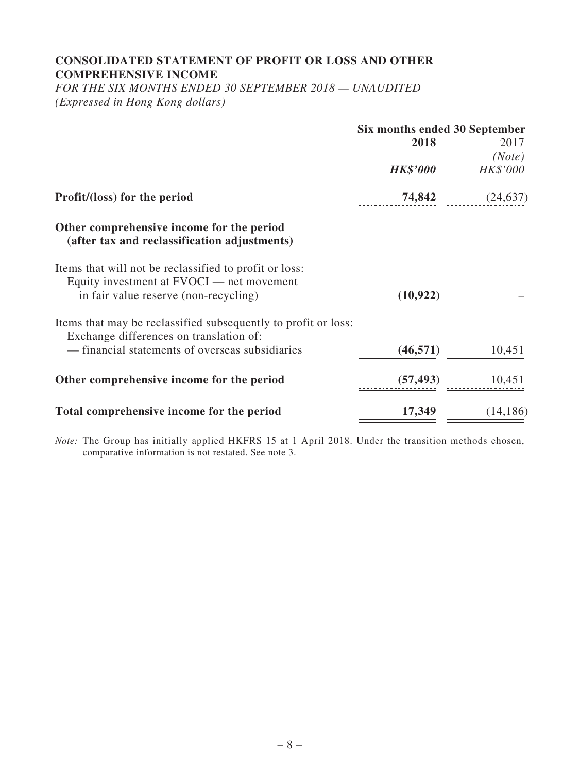### **CONSOLIDATED STATEMENT OF PROFIT OR LOSS AND OTHER COMPREHENSIVE INCOME**

*FOR THE SIX MONTHS ENDED 30 SEPTEMBER 2018 — UNAUDITED (Expressed in Hong Kong dollars)*

|                                                                                           | Six months ended 30 September |                   |
|-------------------------------------------------------------------------------------------|-------------------------------|-------------------|
|                                                                                           | 2018                          | 2017              |
|                                                                                           |                               | (Note)            |
|                                                                                           | <b>HK\$'000</b>               | HK\$'000          |
| Profit/(loss) for the period                                                              |                               | $74,842$ (24,637) |
| Other comprehensive income for the period<br>(after tax and reclassification adjustments) |                               |                   |
| Items that will not be reclassified to profit or loss:                                    |                               |                   |
| Equity investment at FVOCI — net movement                                                 |                               |                   |
| in fair value reserve (non-recycling)                                                     | (10, 922)                     |                   |
| Items that may be reclassified subsequently to profit or loss:                            |                               |                   |
| Exchange differences on translation of:                                                   |                               |                   |
| - financial statements of overseas subsidiaries                                           | (46, 571)                     | 10,451            |
| Other comprehensive income for the period                                                 | (57, 493)                     | 10,451            |
| Total comprehensive income for the period                                                 | 17,349                        | (14, 186)         |

*Note:* The Group has initially applied HKFRS 15 at 1 April 2018. Under the transition methods chosen, comparative information is not restated. See note 3.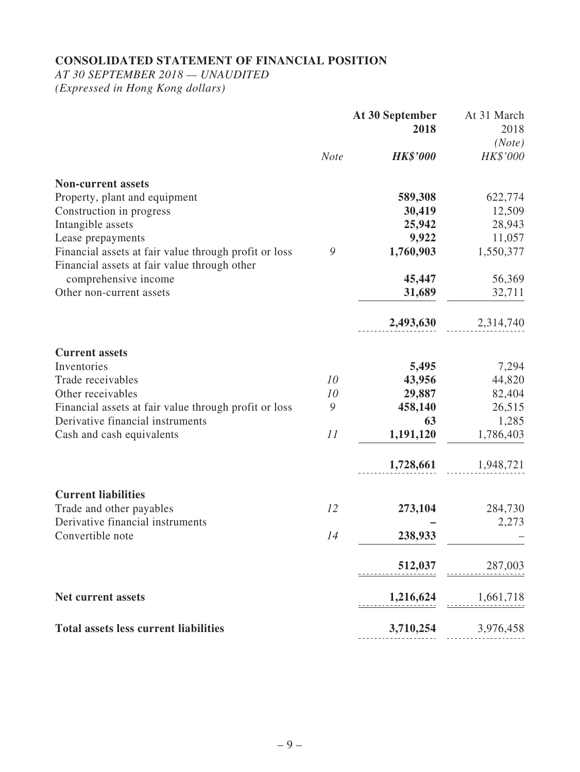# **CONSOLIDATED STATEMENT OF FINANCIAL POSITION**

*AT 30 SEPTEMBER 2018 — UNAUDITED*

*(Expressed in Hong Kong dollars)*

|                                                                                                       |             | At 30 September<br>2018 | At 31 March<br>2018 |
|-------------------------------------------------------------------------------------------------------|-------------|-------------------------|---------------------|
|                                                                                                       | <b>Note</b> | <b>HK\$'000</b>         | (Note)<br>HK\$'000  |
| <b>Non-current assets</b>                                                                             |             |                         |                     |
| Property, plant and equipment                                                                         |             | 589,308                 | 622,774             |
| Construction in progress                                                                              |             | 30,419                  | 12,509              |
| Intangible assets                                                                                     |             | 25,942                  | 28,943              |
| Lease prepayments                                                                                     |             | 9,922                   | 11,057              |
| Financial assets at fair value through profit or loss<br>Financial assets at fair value through other | 9           | 1,760,903               | 1,550,377           |
| comprehensive income                                                                                  |             | 45,447                  | 56,369              |
| Other non-current assets                                                                              |             | 31,689                  | 32,711              |
|                                                                                                       |             | 2,493,630               | 2,314,740           |
| <b>Current assets</b>                                                                                 |             |                         |                     |
| Inventories                                                                                           |             | 5,495                   | 7,294               |
| Trade receivables                                                                                     | 10          | 43,956                  | 44,820              |
| Other receivables                                                                                     | 10          | 29,887                  | 82,404              |
| Financial assets at fair value through profit or loss                                                 | 9           | 458,140                 | 26,515              |
| Derivative financial instruments                                                                      |             | 63                      | 1,285               |
| Cash and cash equivalents                                                                             | 11          | 1,191,120               | 1,786,403           |
|                                                                                                       |             | 1,728,661               | 1,948,721           |
| <b>Current liabilities</b>                                                                            |             |                         |                     |
| Trade and other payables                                                                              | 12          | 273,104                 | 284,730             |
| Derivative financial instruments                                                                      |             |                         | 2,273               |
| Convertible note                                                                                      | 14          | 238,933                 |                     |
|                                                                                                       |             | 512,037                 | 287,003             |
| <b>Net current assets</b>                                                                             |             | 1,216,624               | 1,661,718           |
| <b>Total assets less current liabilities</b>                                                          |             | 3,710,254               | 3,976,458           |
|                                                                                                       |             |                         |                     |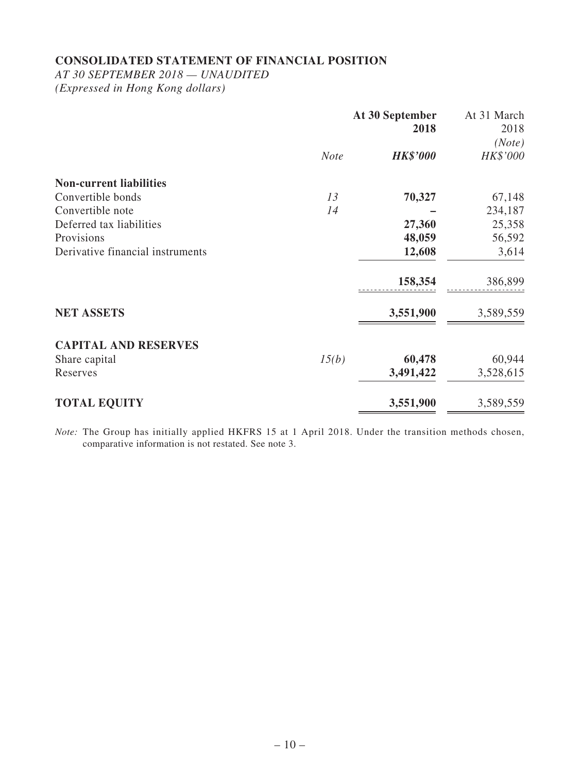### **CONSOLIDATED STATEMENT OF FINANCIAL POSITION**

*AT 30 SEPTEMBER 2018 — UNAUDITED*

*(Expressed in Hong Kong dollars)*

|                                  |             | At 30 September<br>2018 | At 31 March<br>2018 |
|----------------------------------|-------------|-------------------------|---------------------|
|                                  | <b>Note</b> | <b>HK\$'000</b>         | (Note)<br>HK\$'000  |
| <b>Non-current liabilities</b>   |             |                         |                     |
| Convertible bonds                | 13          | 70,327                  | 67,148              |
| Convertible note                 | 14          |                         | 234,187             |
| Deferred tax liabilities         |             | 27,360                  | 25,358              |
| Provisions                       |             | 48,059                  | 56,592              |
| Derivative financial instruments |             | 12,608                  | 3,614               |
|                                  |             | 158,354                 | 386,899             |
| <b>NET ASSETS</b>                |             | 3,551,900               | 3,589,559           |
| <b>CAPITAL AND RESERVES</b>      |             |                         |                     |
| Share capital                    | 15(b)       | 60,478                  | 60,944              |
| Reserves                         |             | 3,491,422               | 3,528,615           |
| <b>TOTAL EQUITY</b>              |             | 3,551,900               | 3,589,559           |

*Note:* The Group has initially applied HKFRS 15 at 1 April 2018. Under the transition methods chosen, comparative information is not restated. See note 3.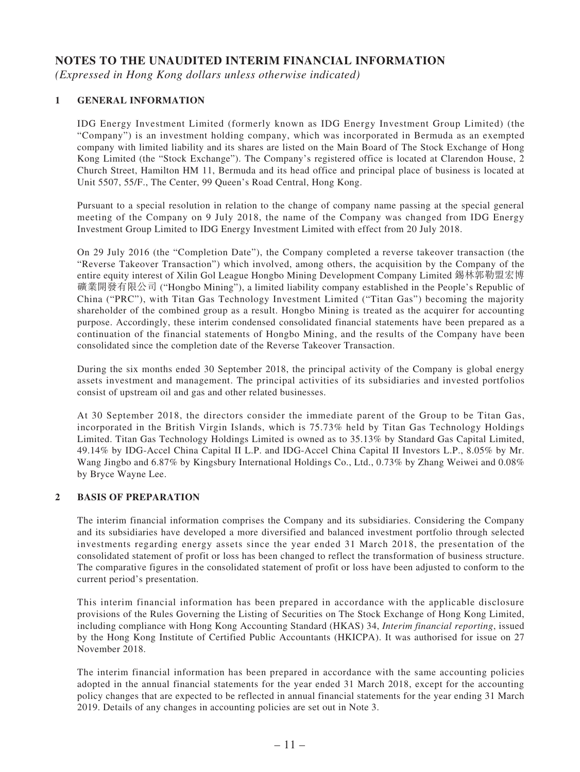#### **NOTES TO THE UNAUDITED INTERIM FINANCIAL INFORMATION**

*(Expressed in Hong Kong dollars unless otherwise indicated)*

#### **1 GENERAL INFORMATION**

IDG Energy Investment Limited (formerly known as IDG Energy Investment Group Limited) (the "Company") is an investment holding company, which was incorporated in Bermuda as an exempted company with limited liability and its shares are listed on the Main Board of The Stock Exchange of Hong Kong Limited (the "Stock Exchange"). The Company's registered office is located at Clarendon House, 2 Church Street, Hamilton HM 11, Bermuda and its head office and principal place of business is located at Unit 5507, 55/F., The Center, 99 Queen's Road Central, Hong Kong.

Pursuant to a special resolution in relation to the change of company name passing at the special general meeting of the Company on 9 July 2018, the name of the Company was changed from IDG Energy Investment Group Limited to IDG Energy Investment Limited with effect from 20 July 2018.

On 29 July 2016 (the "Completion Date"), the Company completed a reverse takeover transaction (the "Reverse Takeover Transaction") which involved, among others, the acquisition by the Company of the entire equity interest of Xilin Gol League Hongbo Mining Development Company Limited 錫林郭勒盟宏博 礦業開發有限公司 ("Hongbo Mining"), a limited liability company established in the People's Republic of China ("PRC"), with Titan Gas Technology Investment Limited ("Titan Gas") becoming the majority shareholder of the combined group as a result. Hongbo Mining is treated as the acquirer for accounting purpose. Accordingly, these interim condensed consolidated financial statements have been prepared as a continuation of the financial statements of Hongbo Mining, and the results of the Company have been consolidated since the completion date of the Reverse Takeover Transaction.

During the six months ended 30 September 2018, the principal activity of the Company is global energy assets investment and management. The principal activities of its subsidiaries and invested portfolios consist of upstream oil and gas and other related businesses.

At 30 September 2018, the directors consider the immediate parent of the Group to be Titan Gas, incorporated in the British Virgin Islands, which is 75.73% held by Titan Gas Technology Holdings Limited. Titan Gas Technology Holdings Limited is owned as to 35.13% by Standard Gas Capital Limited, 49.14% by IDG-Accel China Capital II L.P. and IDG-Accel China Capital II Investors L.P., 8.05% by Mr. Wang Jingbo and 6.87% by Kingsbury International Holdings Co., Ltd., 0.73% by Zhang Weiwei and 0.08% by Bryce Wayne Lee.

#### **2 BASIS OF PREPARATION**

The interim financial information comprises the Company and its subsidiaries. Considering the Company and its subsidiaries have developed a more diversified and balanced investment portfolio through selected investments regarding energy assets since the year ended 31 March 2018, the presentation of the consolidated statement of profit or loss has been changed to reflect the transformation of business structure. The comparative figures in the consolidated statement of profit or loss have been adjusted to conform to the current period's presentation.

This interim financial information has been prepared in accordance with the applicable disclosure provisions of the Rules Governing the Listing of Securities on The Stock Exchange of Hong Kong Limited, including compliance with Hong Kong Accounting Standard (HKAS) 34, *Interim financial reporting*, issued by the Hong Kong Institute of Certified Public Accountants (HKICPA). It was authorised for issue on 27 November 2018.

The interim financial information has been prepared in accordance with the same accounting policies adopted in the annual financial statements for the year ended 31 March 2018, except for the accounting policy changes that are expected to be reflected in annual financial statements for the year ending 31 March 2019. Details of any changes in accounting policies are set out in Note 3.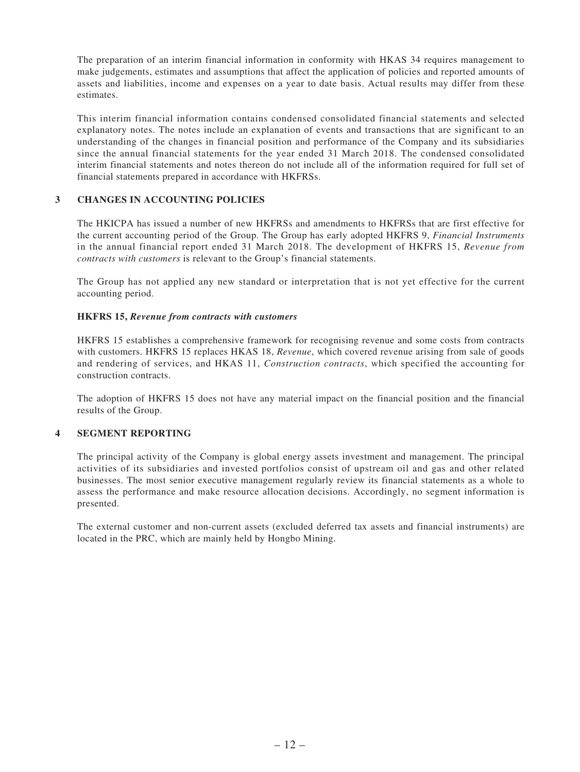The preparation of an interim financial information in conformity with HKAS 34 requires management to make judgements, estimates and assumptions that affect the application of policies and reported amounts of assets and liabilities, income and expenses on a year to date basis. Actual results may differ from these estimates.

This interim financial information contains condensed consolidated financial statements and selected explanatory notes. The notes include an explanation of events and transactions that are significant to an understanding of the changes in financial position and performance of the Company and its subsidiaries since the annual financial statements for the year ended 31 March 2018. The condensed consolidated interim financial statements and notes thereon do not include all of the information required for full set of financial statements prepared in accordance with HKFRSs.

#### **3 CHANGES IN ACCOUNTING POLICIES**

The HKICPA has issued a number of new HKFRSs and amendments to HKFRSs that are first effective for the current accounting period of the Group. The Group has early adopted HKFRS 9, *Financial Instruments*  in the annual financial report ended 31 March 2018. The development of HKFRS 15, *Revenue from contracts with customers* is relevant to the Group's financial statements.

The Group has not applied any new standard or interpretation that is not yet effective for the current accounting period.

#### **HKFRS 15,** *Revenue from contracts with customers*

HKFRS 15 establishes a comprehensive framework for recognising revenue and some costs from contracts with customers. HKFRS 15 replaces HKAS 18, *Revenue*, which covered revenue arising from sale of goods and rendering of services, and HKAS 11, *Construction contracts*, which specified the accounting for construction contracts.

The adoption of HKFRS 15 does not have any material impact on the financial position and the financial results of the Group.

#### **4 SEGMENT REPORTING**

The principal activity of the Company is global energy assets investment and management. The principal activities of its subsidiaries and invested portfolios consist of upstream oil and gas and other related businesses. The most senior executive management regularly review its financial statements as a whole to assess the performance and make resource allocation decisions. Accordingly, no segment information is presented.

The external customer and non-current assets (excluded deferred tax assets and financial instruments) are located in the PRC, which are mainly held by Hongbo Mining.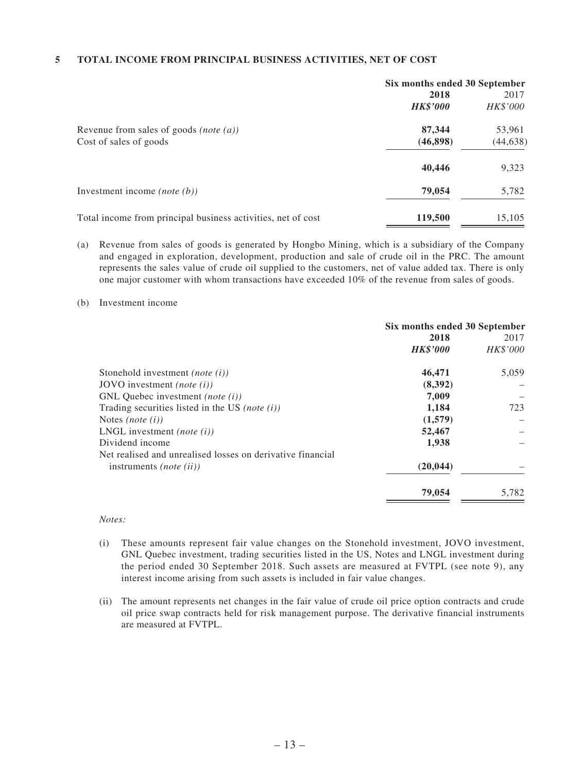#### **5 TOTAL INCOME FROM PRINCIPAL BUSINESS ACTIVITIES, NET OF COST**

|                                                              |                 | Six months ended 30 September |  |
|--------------------------------------------------------------|-----------------|-------------------------------|--|
|                                                              | 2018            | 2017                          |  |
|                                                              | <b>HK\$'000</b> | HK\$'000                      |  |
| Revenue from sales of goods ( <i>note</i> $(a)$ )            | 87,344          | 53,961                        |  |
| Cost of sales of goods                                       | (46,898)        | (44, 638)                     |  |
|                                                              | 40,446          | 9,323                         |  |
| Investment income ( <i>note</i> $(b)$ )                      | 79,054          | 5,782                         |  |
| Total income from principal business activities, net of cost | 119,500         | 15,105                        |  |

(a) Revenue from sales of goods is generated by Hongbo Mining, which is a subsidiary of the Company and engaged in exploration, development, production and sale of crude oil in the PRC. The amount represents the sales value of crude oil supplied to the customers, net of value added tax. There is only one major customer with whom transactions have exceeded 10% of the revenue from sales of goods.

#### (b) Investment income

|                                                            | Six months ended 30 September |          |
|------------------------------------------------------------|-------------------------------|----------|
|                                                            | 2018                          | 2017     |
|                                                            | <b>HK\$'000</b>               | HK\$'000 |
| Stonehold investment <i>(note (i))</i>                     | 46,471                        | 5,059    |
| JOVO investment ( <i>note</i> $(i)$ )                      | (8,392)                       |          |
| GNL Ouebec investment <i>(note (i))</i>                    | 7,009                         |          |
| Trading securities listed in the US (note $(i)$ )          | 1,184                         | 723      |
| Notes <i>(note (i))</i>                                    | (1,579)                       |          |
| LNGL investment ( <i>note</i> $(i)$ )                      | 52,467                        |          |
| Dividend income                                            | 1,938                         |          |
| Net realised and unrealised losses on derivative financial |                               |          |
| instruments ( <i>note</i> $(ii)$ )                         | (20, 044)                     |          |
|                                                            | 79,054                        | 5.782    |

#### *Notes:*

- (i) These amounts represent fair value changes on the Stonehold investment, JOVO investment, GNL Quebec investment, trading securities listed in the US, Notes and LNGL investment during the period ended 30 September 2018. Such assets are measured at FVTPL (see note 9), any interest income arising from such assets is included in fair value changes.
- (ii) The amount represents net changes in the fair value of crude oil price option contracts and crude oil price swap contracts held for risk management purpose. The derivative financial instruments are measured at FVTPL.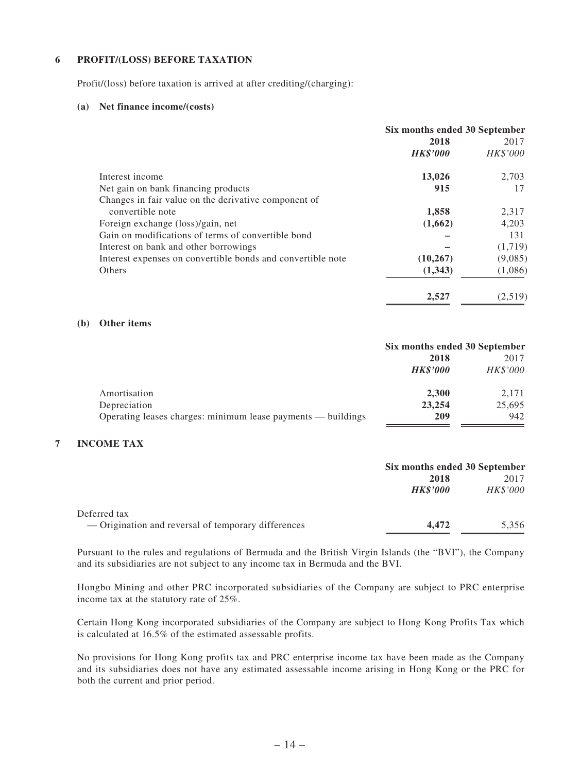#### **6 PROFIT/(LOSS) BEFORE TAXATION**

Profit/(loss) before taxation is arrived at after crediting/(charging):

#### **(a) Net finance income/(costs)**

|                                                             | Six months ended 30 September |          |
|-------------------------------------------------------------|-------------------------------|----------|
|                                                             | 2018                          | 2017     |
|                                                             | <b>HK\$'000</b>               | HK\$'000 |
| Interest income                                             | 13,026                        | 2,703    |
| Net gain on bank financing products                         | 915                           | 17       |
| Changes in fair value on the derivative component of        |                               |          |
| convertible note                                            | 1,858                         | 2,317    |
| Foreign exchange (loss)/gain, net                           | (1,662)                       | 4,203    |
| Gain on modifications of terms of convertible bond          |                               | 131      |
| Interest on bank and other borrowings                       |                               | (1,719)  |
| Interest expenses on convertible bonds and convertible note | (10, 267)                     | (9,085)  |
| Others                                                      | (1,343)                       | (1,086)  |
|                                                             | 2.527                         | (2,519)  |

#### **(b) Other items**

|                                                              | Six months ended 30 September |                 |
|--------------------------------------------------------------|-------------------------------|-----------------|
|                                                              | 2018                          | 2017            |
|                                                              | <b>HK\$'000</b>               | <i>HK\$'000</i> |
| Amortisation                                                 | 2.300                         | 2.171           |
| Depreciation                                                 | 23,254                        | 25,695          |
| Operating leases charges: minimum lease payments — buildings | 209                           | 942             |

#### **7 INCOME TAX**

|                                                     | Six months ended 30 September |          |
|-----------------------------------------------------|-------------------------------|----------|
|                                                     | 2018                          | 2017     |
|                                                     | <b>HK\$'000</b>               | HK\$'000 |
| Deferred tax                                        |                               |          |
| — Origination and reversal of temporary differences | 4.472                         | 5,356    |

Pursuant to the rules and regulations of Bermuda and the British Virgin Islands (the "BVI"), the Company and its subsidiaries are not subject to any income tax in Bermuda and the BVI.

Hongbo Mining and other PRC incorporated subsidiaries of the Company are subject to PRC enterprise income tax at the statutory rate of 25%.

Certain Hong Kong incorporated subsidiaries of the Company are subject to Hong Kong Profits Tax which is calculated at 16.5% of the estimated assessable profits.

No provisions for Hong Kong profits tax and PRC enterprise income tax have been made as the Company and its subsidiaries does not have any estimated assessable income arising in Hong Kong or the PRC for both the current and prior period.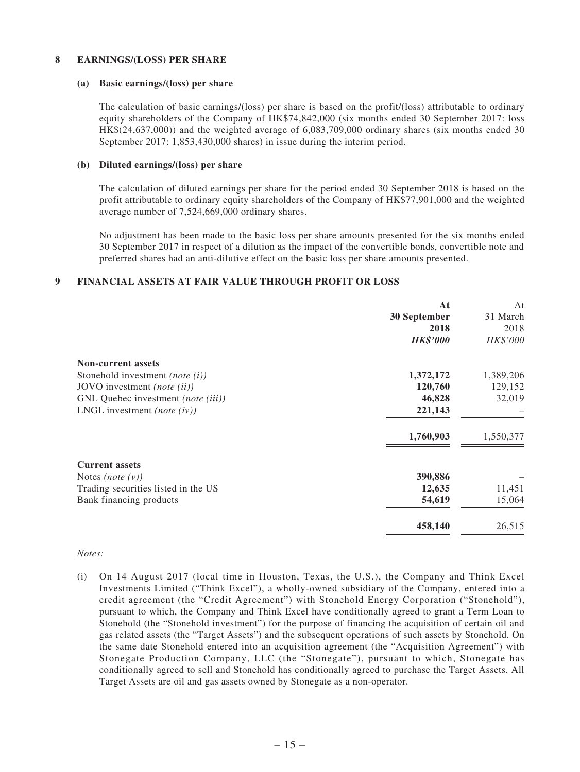#### **8 EARNINGS/(LOSS) PER SHARE**

#### **(a) Basic earnings/(loss) per share**

The calculation of basic earnings/(loss) per share is based on the profit/(loss) attributable to ordinary equity shareholders of the Company of HK\$74,842,000 (six months ended 30 September 2017: loss HK\$(24,637,000)) and the weighted average of 6,083,709,000 ordinary shares (six months ended 30 September 2017: 1,853,430,000 shares) in issue during the interim period.

#### **(b) Diluted earnings/(loss) per share**

The calculation of diluted earnings per share for the period ended 30 September 2018 is based on the profit attributable to ordinary equity shareholders of the Company of HK\$77,901,000 and the weighted average number of 7,524,669,000 ordinary shares.

No adjustment has been made to the basic loss per share amounts presented for the six months ended 30 September 2017 in respect of a dilution as the impact of the convertible bonds, convertible note and preferred shares had an anti-dilutive effect on the basic loss per share amounts presented.

#### **9 FINANCIAL ASSETS AT FAIR VALUE THROUGH PROFIT OR LOSS**

|                                            | At              | At        |
|--------------------------------------------|-----------------|-----------|
|                                            | 30 September    | 31 March  |
|                                            | 2018            | 2018      |
|                                            | <b>HK\$'000</b> | HK\$'000  |
| <b>Non-current assets</b>                  |                 |           |
| Stonehold investment ( <i>note</i> $(i)$ ) | 1,372,172       | 1,389,206 |
| JOVO investment (note (ii))                | 120,760         | 129,152   |
| GNL Quebec investment (note (iii))         | 46,828          | 32,019    |
| LNGL investment ( <i>note</i> $(iv)$ )     | 221,143         |           |
|                                            | 1,760,903       | 1,550,377 |
| <b>Current assets</b>                      |                 |           |
| Notes <i>(note <math>(v)</math>)</i>       | 390,886         |           |
| Trading securities listed in the US        | 12,635          | 11,451    |
| Bank financing products                    | 54,619          | 15,064    |
|                                            | 458,140         | 26,515    |

#### *Notes:*

(i) On 14 August 2017 (local time in Houston, Texas, the U.S.), the Company and Think Excel Investments Limited ("Think Excel"), a wholly-owned subsidiary of the Company, entered into a credit agreement (the "Credit Agreement") with Stonehold Energy Corporation ("Stonehold"), pursuant to which, the Company and Think Excel have conditionally agreed to grant a Term Loan to Stonehold (the "Stonehold investment") for the purpose of financing the acquisition of certain oil and gas related assets (the "Target Assets") and the subsequent operations of such assets by Stonehold. On the same date Stonehold entered into an acquisition agreement (the "Acquisition Agreement") with Stonegate Production Company, LLC (the "Stonegate"), pursuant to which, Stonegate has conditionally agreed to sell and Stonehold has conditionally agreed to purchase the Target Assets. All Target Assets are oil and gas assets owned by Stonegate as a non-operator.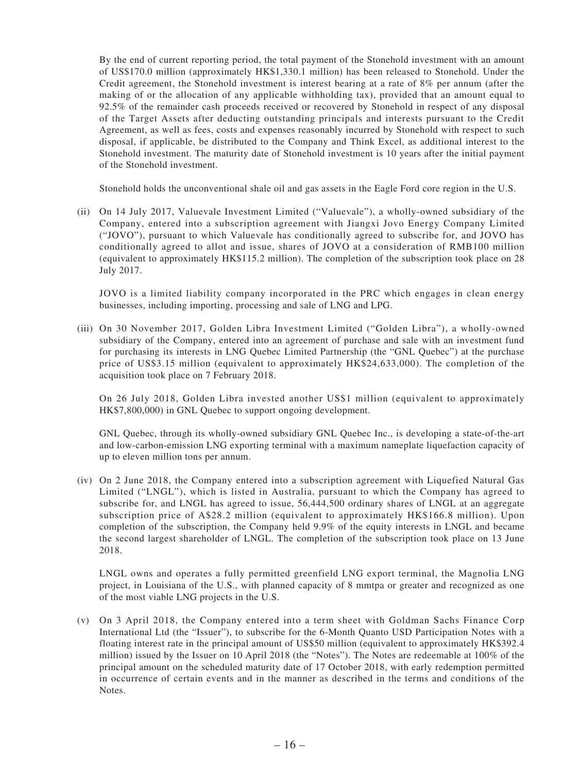By the end of current reporting period, the total payment of the Stonehold investment with an amount of US\$170.0 million (approximately HK\$1,330.1 million) has been released to Stonehold. Under the Credit agreement, the Stonehold investment is interest bearing at a rate of 8% per annum (after the making of or the allocation of any applicable withholding tax), provided that an amount equal to 92.5% of the remainder cash proceeds received or recovered by Stonehold in respect of any disposal of the Target Assets after deducting outstanding principals and interests pursuant to the Credit Agreement, as well as fees, costs and expenses reasonably incurred by Stonehold with respect to such disposal, if applicable, be distributed to the Company and Think Excel, as additional interest to the Stonehold investment. The maturity date of Stonehold investment is 10 years after the initial payment of the Stonehold investment.

Stonehold holds the unconventional shale oil and gas assets in the Eagle Ford core region in the U.S.

(ii) On 14 July 2017, Valuevale Investment Limited ("Valuevale"), a wholly-owned subsidiary of the Company, entered into a subscription agreement with Jiangxi Jovo Energy Company Limited ("JOVO"), pursuant to which Valuevale has conditionally agreed to subscribe for, and JOVO has conditionally agreed to allot and issue, shares of JOVO at a consideration of RMB100 million (equivalent to approximately HK\$115.2 million). The completion of the subscription took place on 28 July 2017.

JOVO is a limited liability company incorporated in the PRC which engages in clean energy businesses, including importing, processing and sale of LNG and LPG.

(iii) On 30 November 2017, Golden Libra Investment Limited ("Golden Libra"), a wholly-owned subsidiary of the Company, entered into an agreement of purchase and sale with an investment fund for purchasing its interests in LNG Quebec Limited Partnership (the "GNL Quebec") at the purchase price of US\$3.15 million (equivalent to approximately HK\$24,633,000). The completion of the acquisition took place on 7 February 2018.

On 26 July 2018, Golden Libra invested another US\$1 million (equivalent to approximately HK\$7,800,000) in GNL Quebec to support ongoing development.

GNL Quebec, through its wholly-owned subsidiary GNL Quebec Inc., is developing a state-of-the-art and low-carbon-emission LNG exporting terminal with a maximum nameplate liquefaction capacity of up to eleven million tons per annum.

(iv) On 2 June 2018, the Company entered into a subscription agreement with Liquefied Natural Gas Limited ("LNGL"), which is listed in Australia, pursuant to which the Company has agreed to subscribe for, and LNGL has agreed to issue, 56,444,500 ordinary shares of LNGL at an aggregate subscription price of A\$28.2 million (equivalent to approximately HK\$166.8 million). Upon completion of the subscription, the Company held 9.9% of the equity interests in LNGL and became the second largest shareholder of LNGL. The completion of the subscription took place on 13 June 2018.

LNGL owns and operates a fully permitted greenfield LNG export terminal, the Magnolia LNG project, in Louisiana of the U.S., with planned capacity of 8 mmtpa or greater and recognized as one of the most viable LNG projects in the U.S.

(v) On 3 April 2018, the Company entered into a term sheet with Goldman Sachs Finance Corp International Ltd (the "Issuer"), to subscribe for the 6-Month Quanto USD Participation Notes with a floating interest rate in the principal amount of US\$50 million (equivalent to approximately HK\$392.4 million) issued by the Issuer on 10 April 2018 (the "Notes"). The Notes are redeemable at 100% of the principal amount on the scheduled maturity date of 17 October 2018, with early redemption permitted in occurrence of certain events and in the manner as described in the terms and conditions of the Notes.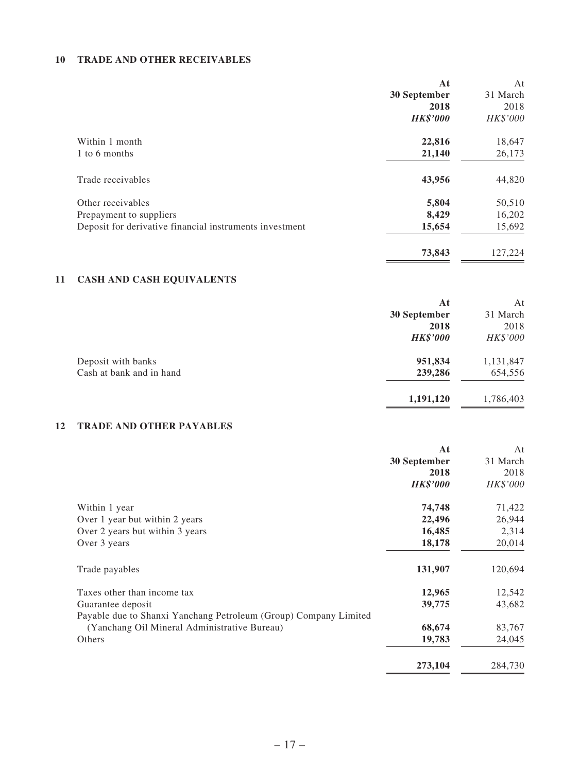#### **10 TRADE AND OTHER RECEIVABLES**

|                                                         | At              | At       |
|---------------------------------------------------------|-----------------|----------|
|                                                         | 30 September    | 31 March |
|                                                         | 2018            | 2018     |
|                                                         | <b>HK\$'000</b> | HK\$'000 |
| Within 1 month                                          | 22,816          | 18,647   |
| 1 to 6 months                                           | 21,140          | 26,173   |
| Trade receivables                                       | 43,956          | 44,820   |
| Other receivables                                       | 5,804           | 50,510   |
| Prepayment to suppliers                                 | 8,429           | 16,202   |
| Deposit for derivative financial instruments investment | 15,654          | 15,692   |
|                                                         | 73,843          | 127,224  |

#### **11 CASH AND CASH EQUIVALENTS**

|                          | At              | At        |
|--------------------------|-----------------|-----------|
|                          | 30 September    | 31 March  |
|                          | 2018            | 2018      |
|                          | <b>HK\$'000</b> | HK\$'000  |
| Deposit with banks       | 951,834         | 1,131,847 |
| Cash at bank and in hand | 239,286         | 654,556   |
|                          | 1,191,120       | 1,786,403 |

#### **12 TRADE AND OTHER PAYABLES**

|                                                                  | At              | At       |
|------------------------------------------------------------------|-----------------|----------|
|                                                                  | 30 September    | 31 March |
|                                                                  | 2018            | 2018     |
|                                                                  | <b>HK\$'000</b> | HK\$'000 |
| Within 1 year                                                    | 74,748          | 71,422   |
| Over 1 year but within 2 years                                   | 22,496          | 26,944   |
| Over 2 years but within 3 years                                  | 16,485          | 2,314    |
| Over 3 years                                                     | 18,178          | 20,014   |
| Trade payables                                                   | 131,907         | 120,694  |
| Taxes other than income tax                                      | 12,965          | 12,542   |
| Guarantee deposit                                                | 39,775          | 43,682   |
| Payable due to Shanxi Yanchang Petroleum (Group) Company Limited |                 |          |
| (Yanchang Oil Mineral Administrative Bureau)                     | 68,674          | 83,767   |
| Others                                                           | 19,783          | 24,045   |
|                                                                  | 273,104         | 284,730  |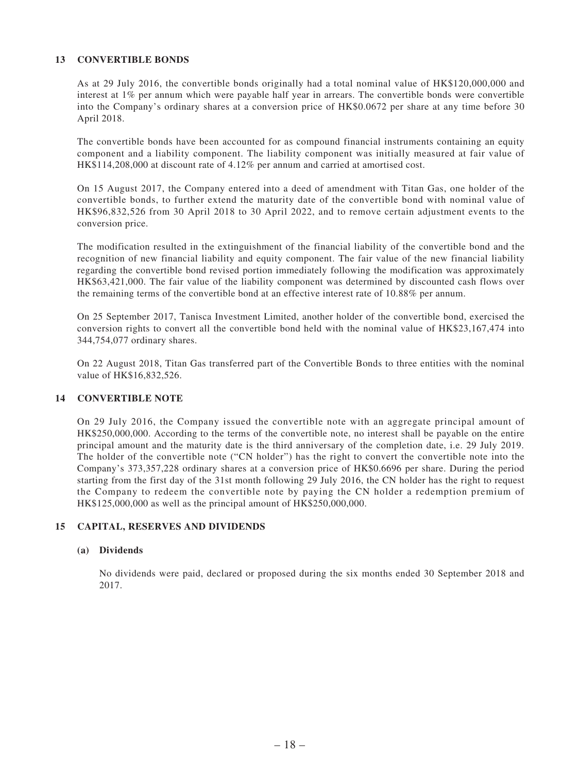#### **13 CONVERTIBLE BONDS**

As at 29 July 2016, the convertible bonds originally had a total nominal value of HK\$120,000,000 and interest at 1% per annum which were payable half year in arrears. The convertible bonds were convertible into the Company's ordinary shares at a conversion price of HK\$0.0672 per share at any time before 30 April 2018.

The convertible bonds have been accounted for as compound financial instruments containing an equity component and a liability component. The liability component was initially measured at fair value of HK\$114,208,000 at discount rate of 4.12% per annum and carried at amortised cost.

On 15 August 2017, the Company entered into a deed of amendment with Titan Gas, one holder of the convertible bonds, to further extend the maturity date of the convertible bond with nominal value of HK\$96,832,526 from 30 April 2018 to 30 April 2022, and to remove certain adjustment events to the conversion price.

The modification resulted in the extinguishment of the financial liability of the convertible bond and the recognition of new financial liability and equity component. The fair value of the new financial liability regarding the convertible bond revised portion immediately following the modification was approximately HK\$63,421,000. The fair value of the liability component was determined by discounted cash flows over the remaining terms of the convertible bond at an effective interest rate of 10.88% per annum.

On 25 September 2017, Tanisca Investment Limited, another holder of the convertible bond, exercised the conversion rights to convert all the convertible bond held with the nominal value of HK\$23,167,474 into 344,754,077 ordinary shares.

On 22 August 2018, Titan Gas transferred part of the Convertible Bonds to three entities with the nominal value of HK\$16,832,526.

#### **14 CONVERTIBLE NOTE**

On 29 July 2016, the Company issued the convertible note with an aggregate principal amount of HK\$250,000,000. According to the terms of the convertible note, no interest shall be payable on the entire principal amount and the maturity date is the third anniversary of the completion date, i.e. 29 July 2019. The holder of the convertible note ("CN holder") has the right to convert the convertible note into the Company's 373,357,228 ordinary shares at a conversion price of HK\$0.6696 per share. During the period starting from the first day of the 31st month following 29 July 2016, the CN holder has the right to request the Company to redeem the convertible note by paying the CN holder a redemption premium of HK\$125,000,000 as well as the principal amount of HK\$250,000,000.

#### **15 CAPITAL, RESERVES AND DIVIDENDS**

#### **(a) Dividends**

No dividends were paid, declared or proposed during the six months ended 30 September 2018 and 2017.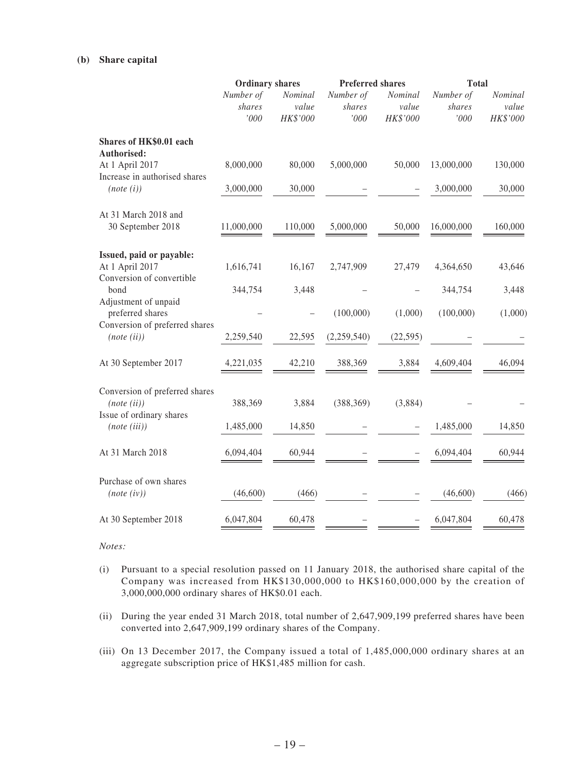#### **(b) Share capital**

|                                                                           | <b>Ordinary shares</b>      |                              | <b>Preferred shares</b>     |                              | <b>Total</b>                |                              |
|---------------------------------------------------------------------------|-----------------------------|------------------------------|-----------------------------|------------------------------|-----------------------------|------------------------------|
|                                                                           | Number of<br>shares<br>'000 | Nominal<br>value<br>HK\$'000 | Number of<br>shares<br>'000 | Nominal<br>value<br>HK\$'000 | Number of<br>shares<br>'000 | Nominal<br>value<br>HK\$'000 |
| Shares of HK\$0.01 each<br>Authorised:                                    |                             |                              |                             |                              |                             |                              |
| At 1 April 2017<br>Increase in authorised shares                          | 8,000,000                   | 80,000                       | 5,000,000                   | 50,000                       | 13,000,000                  | 130,000                      |
| (note (i))                                                                | 3,000,000                   | 30,000                       |                             |                              | 3,000,000                   | 30,000                       |
| At 31 March 2018 and<br>30 September 2018                                 | 11,000,000                  | 110,000                      | 5,000,000                   | 50,000                       | 16,000,000                  | 160,000                      |
| Issued, paid or payable:<br>At 1 April 2017<br>Conversion of convertible  | 1,616,741                   | 16,167                       | 2,747,909                   | 27,479                       | 4,364,650                   | 43,646                       |
| bond<br>Adjustment of unpaid                                              | 344,754                     | 3,448                        |                             |                              | 344,754                     | 3,448                        |
| preferred shares<br>Conversion of preferred shares                        |                             |                              | (100,000)                   | (1,000)                      | (100,000)                   | (1,000)                      |
| (note (ii))                                                               | 2,259,540                   | 22,595                       | (2,259,540)                 | (22, 595)                    |                             |                              |
| At 30 September 2017                                                      | 4,221,035                   | 42,210                       | 388,369                     | 3,884                        | 4,609,404                   | 46,094                       |
| Conversion of preferred shares<br>(note (ii))<br>Issue of ordinary shares | 388,369                     | 3,884                        | (388, 369)                  | (3,884)                      |                             |                              |
| (note (iii))                                                              | 1,485,000                   | 14,850                       |                             |                              | 1,485,000                   | 14,850                       |
| At 31 March 2018                                                          | 6,094,404                   | 60,944                       |                             |                              | 6,094,404                   | 60,944                       |
| Purchase of own shares<br>(note(iv))                                      | (46,600)                    | (466)                        |                             |                              | (46,600)                    | (466)                        |
| At 30 September 2018                                                      | 6,047,804                   | 60,478                       |                             |                              | 6,047,804                   | 60,478                       |

*Notes:*

- (i) Pursuant to a special resolution passed on 11 January 2018, the authorised share capital of the Company was increased from HK\$130,000,000 to HK\$160,000,000 by the creation of 3,000,000,000 ordinary shares of HK\$0.01 each.
- (ii) During the year ended 31 March 2018, total number of 2,647,909,199 preferred shares have been converted into 2,647,909,199 ordinary shares of the Company.
- (iii) On 13 December 2017, the Company issued a total of 1,485,000,000 ordinary shares at an aggregate subscription price of HK\$1,485 million for cash.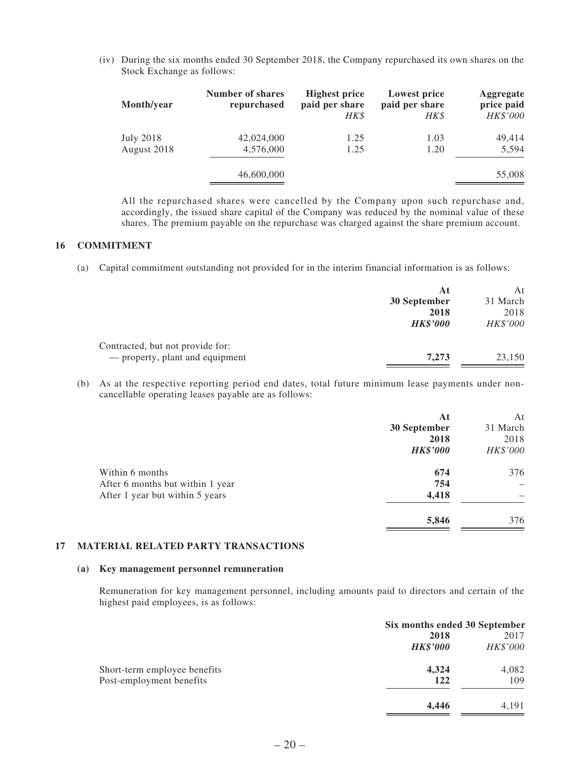(iv) During the six months ended 30 September 2018, the Company repurchased its own shares on the Stock Exchange as follows:

| Month/year  | Number of shares<br>repurchased | <b>Highest price</b><br>paid per share<br>HK\$ | Lowest price<br>paid per share<br>HK\$ | Aggregate<br>price paid<br>HK\$'000 |
|-------------|---------------------------------|------------------------------------------------|----------------------------------------|-------------------------------------|
| July 2018   | 42,024,000                      | 1.25                                           | 1.03                                   | 49,414                              |
| August 2018 | 4,576,000                       | 1.25                                           | 1.20                                   | 5,594                               |
|             | 46,600,000                      |                                                |                                        | 55,008                              |

All the repurchased shares were cancelled by the Company upon such repurchase and, accordingly, the issued share capital of the Company was reduced by the nominal value of these shares. The premium payable on the repurchase was charged against the share premium account.

#### **16 COMMITMENT**

(a) Capital commitment outstanding not provided for in the interim financial information is as follows:

|                                  | At              | At       |
|----------------------------------|-----------------|----------|
|                                  | 30 September    | 31 March |
|                                  | 2018            | 2018     |
|                                  | <b>HK\$'000</b> | HK\$'000 |
| Contracted, but not provide for: |                 |          |
| - property, plant and equipment  | 7,273           | 23,150   |

(b) As at the respective reporting period end dates, total future minimum lease payments under noncancellable operating leases payable are as follows:

|                                                                                        | At<br>30 September<br>2018<br><b>HK\$'000</b> | At<br>31 March<br>2018<br>HK\$'000 |
|----------------------------------------------------------------------------------------|-----------------------------------------------|------------------------------------|
| Within 6 months<br>After 6 months but within 1 year<br>After 1 year but within 5 years | 674<br>754<br>4,418                           | 376                                |
|                                                                                        | 5,846                                         | 376                                |

#### **17 MATERIAL RELATED PARTY TRANSACTIONS**

#### **(a) Key management personnel remuneration**

Remuneration for key management personnel, including amounts paid to directors and certain of the highest paid employees, is as follows:

|                              | Six months ended 30 September |                 |
|------------------------------|-------------------------------|-----------------|
|                              | 2018                          | 2017            |
|                              | <b>HK\$'000</b>               | <b>HK\$'000</b> |
| Short-term employee benefits | 4.324                         | 4,082           |
| Post-employment benefits     | 122                           | 109             |
|                              | 4.446                         | 4,191           |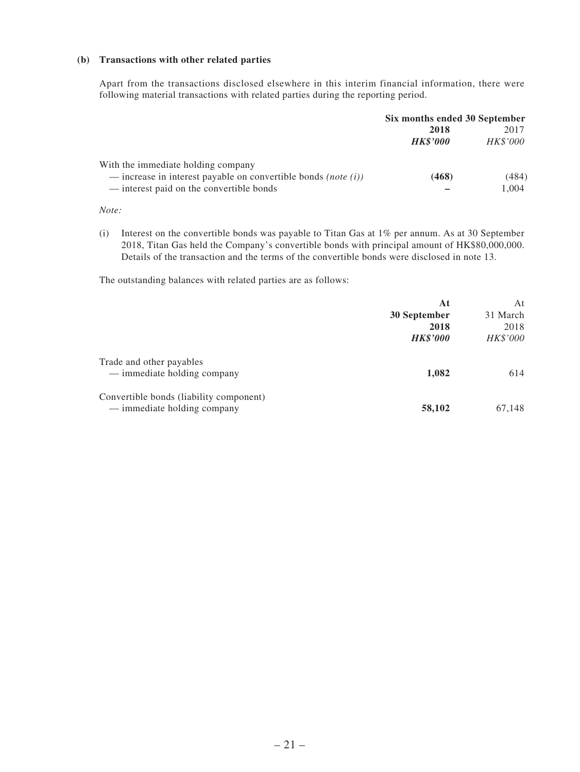#### **(b) Transactions with other related parties**

Apart from the transactions disclosed elsewhere in this interim financial information, there were following material transactions with related parties during the reporting period.

|                                                                   | Six months ended 30 September |                 |
|-------------------------------------------------------------------|-------------------------------|-----------------|
|                                                                   | 2018                          | 2017            |
|                                                                   | <b>HK\$'000</b>               | <i>HK\$'000</i> |
| With the immediate holding company                                |                               |                 |
| — increase in interest payable on convertible bonds (note $(i)$ ) | (468)                         | (484)           |
| — interest paid on the convertible bonds                          |                               | 1.004           |

*Note:*

(i) Interest on the convertible bonds was payable to Titan Gas at 1% per annum. As at 30 September 2018, Titan Gas held the Company's convertible bonds with principal amount of HK\$80,000,000. Details of the transaction and the terms of the convertible bonds were disclosed in note 13.

The outstanding balances with related parties are as follows:

|                                         | At              | At       |
|-----------------------------------------|-----------------|----------|
|                                         | 30 September    | 31 March |
|                                         | 2018            | 2018     |
|                                         | <b>HK\$'000</b> | HK\$'000 |
| Trade and other payables                |                 |          |
| — immediate holding company             | 1,082           | 614      |
| Convertible bonds (liability component) |                 |          |
| — immediate holding company             | 58,102          | 67,148   |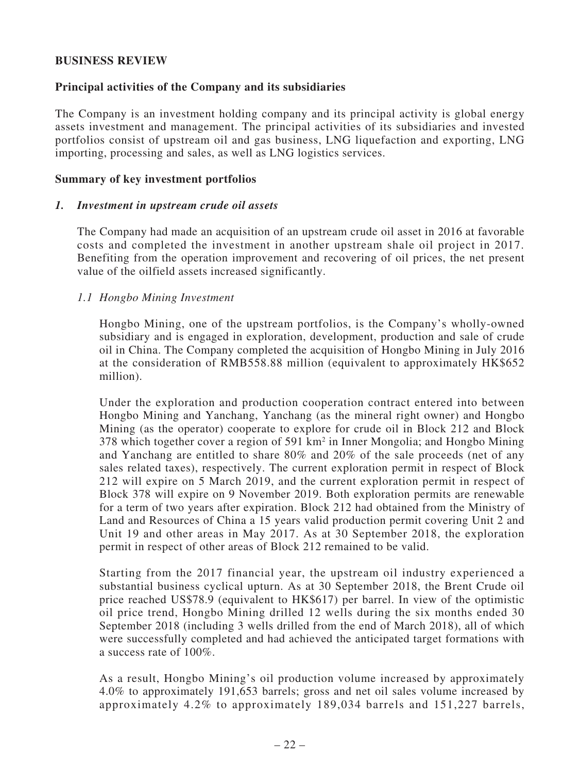#### **BUSINESS REVIEW**

#### **Principal activities of the Company and its subsidiaries**

The Company is an investment holding company and its principal activity is global energy assets investment and management. The principal activities of its subsidiaries and invested portfolios consist of upstream oil and gas business, LNG liquefaction and exporting, LNG importing, processing and sales, as well as LNG logistics services.

#### **Summary of key investment portfolios**

#### *1. Investment in upstream crude oil assets*

The Company had made an acquisition of an upstream crude oil asset in 2016 at favorable costs and completed the investment in another upstream shale oil project in 2017. Benefiting from the operation improvement and recovering of oil prices, the net present value of the oilfield assets increased significantly.

#### *1.1 Hongbo Mining Investment*

Hongbo Mining, one of the upstream portfolios, is the Company's wholly-owned subsidiary and is engaged in exploration, development, production and sale of crude oil in China. The Company completed the acquisition of Hongbo Mining in July 2016 at the consideration of RMB558.88 million (equivalent to approximately HK\$652 million).

Under the exploration and production cooperation contract entered into between Hongbo Mining and Yanchang, Yanchang (as the mineral right owner) and Hongbo Mining (as the operator) cooperate to explore for crude oil in Block 212 and Block 378 which together cover a region of 591 km<sup>2</sup> in Inner Mongolia; and Hongbo Mining and Yanchang are entitled to share 80% and 20% of the sale proceeds (net of any sales related taxes), respectively. The current exploration permit in respect of Block 212 will expire on 5 March 2019, and the current exploration permit in respect of Block 378 will expire on 9 November 2019. Both exploration permits are renewable for a term of two years after expiration. Block 212 had obtained from the Ministry of Land and Resources of China a 15 years valid production permit covering Unit 2 and Unit 19 and other areas in May 2017. As at 30 September 2018, the exploration permit in respect of other areas of Block 212 remained to be valid.

Starting from the 2017 financial year, the upstream oil industry experienced a substantial business cyclical upturn. As at 30 September 2018, the Brent Crude oil price reached US\$78.9 (equivalent to HK\$617) per barrel. In view of the optimistic oil price trend, Hongbo Mining drilled 12 wells during the six months ended 30 September 2018 (including 3 wells drilled from the end of March 2018), all of which were successfully completed and had achieved the anticipated target formations with a success rate of 100%.

As a result, Hongbo Mining's oil production volume increased by approximately 4.0% to approximately 191,653 barrels; gross and net oil sales volume increased by approximately 4.2% to approximately 189,034 barrels and 151,227 barrels,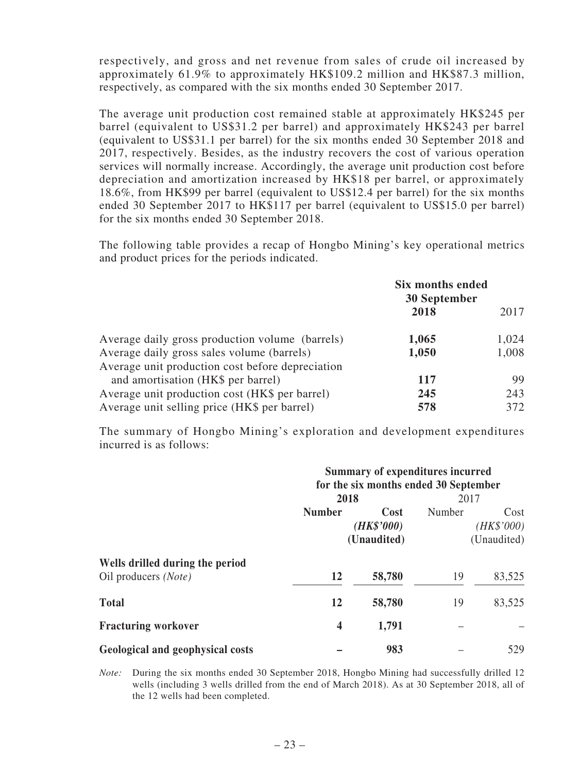respectively, and gross and net revenue from sales of crude oil increased by approximately 61.9% to approximately HK\$109.2 million and HK\$87.3 million, respectively, as compared with the six months ended 30 September 2017.

The average unit production cost remained stable at approximately HK\$245 per barrel (equivalent to US\$31.2 per barrel) and approximately HK\$243 per barrel (equivalent to US\$31.1 per barrel) for the six months ended 30 September 2018 and 2017, respectively. Besides, as the industry recovers the cost of various operation services will normally increase. Accordingly, the average unit production cost before depreciation and amortization increased by HK\$18 per barrel, or approximately 18.6%, from HK\$99 per barrel (equivalent to US\$12.4 per barrel) for the six months ended 30 September 2017 to HK\$117 per barrel (equivalent to US\$15.0 per barrel) for the six months ended 30 September 2018.

The following table provides a recap of Hongbo Mining's key operational metrics and product prices for the periods indicated.

|                                                  | Six months ended<br><b>30 September</b> |       |
|--------------------------------------------------|-----------------------------------------|-------|
|                                                  | 2018                                    | 2017  |
| Average daily gross production volume (barrels)  | 1,065                                   | 1,024 |
| Average daily gross sales volume (barrels)       | 1,050                                   | 1,008 |
| Average unit production cost before depreciation |                                         |       |
| and amortisation (HK\$ per barrel)               | 117                                     | 99    |
| Average unit production cost (HK\$ per barrel)   | 245                                     | 243   |
| Average unit selling price (HK\$ per barrel)     | 578                                     | 372   |

The summary of Hongbo Mining's exploration and development expenditures incurred is as follows:

|                                  | <b>Summary of expenditures incurred</b><br>for the six months ended 30 September |             |        |             |
|----------------------------------|----------------------------------------------------------------------------------|-------------|--------|-------------|
|                                  | 2018                                                                             |             | 2017   |             |
|                                  | <b>Number</b>                                                                    | Cost        | Number | Cost        |
|                                  |                                                                                  | (HK\$'000)  |        | (HK\$'000)  |
|                                  |                                                                                  | (Unaudited) |        | (Unaudited) |
| Wells drilled during the period  |                                                                                  |             |        |             |
| Oil producers (Note)             | 12                                                                               | 58,780      | 19     | 83,525      |
| <b>Total</b>                     | 12                                                                               | 58,780      | 19     | 83,525      |
| <b>Fracturing workover</b>       | 4                                                                                | 1,791       |        |             |
| Geological and geophysical costs |                                                                                  | 983         |        | 529         |

*Note:* During the six months ended 30 September 2018, Hongbo Mining had successfully drilled 12 wells (including 3 wells drilled from the end of March 2018). As at 30 September 2018, all of the 12 wells had been completed.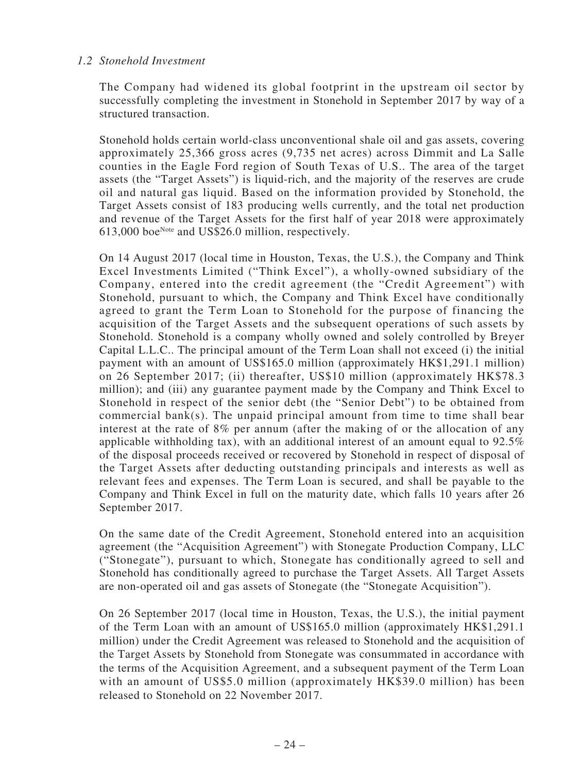#### *1.2 Stonehold Investment*

The Company had widened its global footprint in the upstream oil sector by successfully completing the investment in Stonehold in September 2017 by way of a structured transaction.

Stonehold holds certain world-class unconventional shale oil and gas assets, covering approximately 25,366 gross acres (9,735 net acres) across Dimmit and La Salle counties in the Eagle Ford region of South Texas of U.S.. The area of the target assets (the "Target Assets") is liquid-rich, and the majority of the reserves are crude oil and natural gas liquid. Based on the information provided by Stonehold, the Target Assets consist of 183 producing wells currently, and the total net production and revenue of the Target Assets for the first half of year 2018 were approximately  $613,000$  boe<sup>Note</sup> and US\$26.0 million, respectively.

On 14 August 2017 (local time in Houston, Texas, the U.S.), the Company and Think Excel Investments Limited ("Think Excel"), a wholly-owned subsidiary of the Company, entered into the credit agreement (the "Credit Agreement") with Stonehold, pursuant to which, the Company and Think Excel have conditionally agreed to grant the Term Loan to Stonehold for the purpose of financing the acquisition of the Target Assets and the subsequent operations of such assets by Stonehold. Stonehold is a company wholly owned and solely controlled by Breyer Capital L.L.C.. The principal amount of the Term Loan shall not exceed (i) the initial payment with an amount of US\$165.0 million (approximately HK\$1,291.1 million) on 26 September 2017; (ii) thereafter, US\$10 million (approximately HK\$78.3 million); and (iii) any guarantee payment made by the Company and Think Excel to Stonehold in respect of the senior debt (the "Senior Debt") to be obtained from commercial bank(s). The unpaid principal amount from time to time shall bear interest at the rate of 8% per annum (after the making of or the allocation of any applicable withholding tax), with an additional interest of an amount equal to 92.5% of the disposal proceeds received or recovered by Stonehold in respect of disposal of the Target Assets after deducting outstanding principals and interests as well as relevant fees and expenses. The Term Loan is secured, and shall be payable to the Company and Think Excel in full on the maturity date, which falls 10 years after 26 September 2017.

On the same date of the Credit Agreement, Stonehold entered into an acquisition agreement (the "Acquisition Agreement") with Stonegate Production Company, LLC ("Stonegate"), pursuant to which, Stonegate has conditionally agreed to sell and Stonehold has conditionally agreed to purchase the Target Assets. All Target Assets are non-operated oil and gas assets of Stonegate (the "Stonegate Acquisition").

On 26 September 2017 (local time in Houston, Texas, the U.S.), the initial payment of the Term Loan with an amount of US\$165.0 million (approximately HK\$1,291.1 million) under the Credit Agreement was released to Stonehold and the acquisition of the Target Assets by Stonehold from Stonegate was consummated in accordance with the terms of the Acquisition Agreement, and a subsequent payment of the Term Loan with an amount of US\$5.0 million (approximately HK\$39.0 million) has been released to Stonehold on 22 November 2017.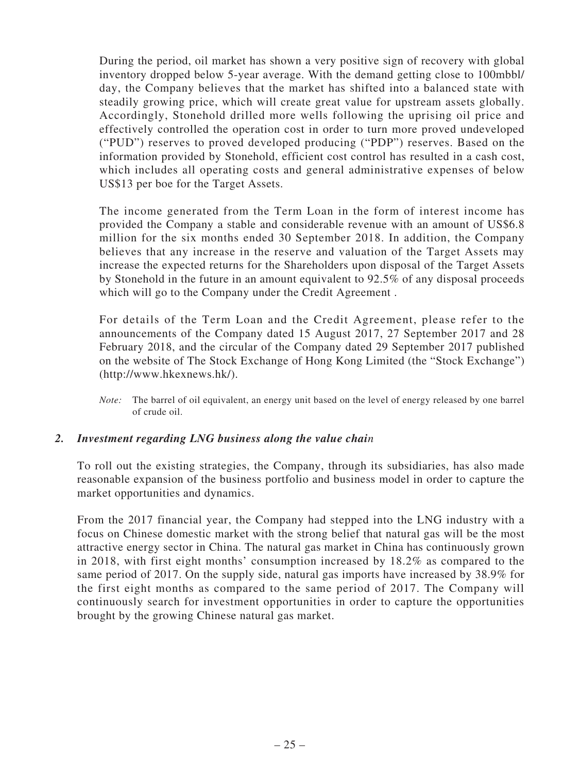During the period, oil market has shown a very positive sign of recovery with global inventory dropped below 5-year average. With the demand getting close to 100mbbl/ day, the Company believes that the market has shifted into a balanced state with steadily growing price, which will create great value for upstream assets globally. Accordingly, Stonehold drilled more wells following the uprising oil price and effectively controlled the operation cost in order to turn more proved undeveloped ("PUD") reserves to proved developed producing ("PDP") reserves. Based on the information provided by Stonehold, efficient cost control has resulted in a cash cost, which includes all operating costs and general administrative expenses of below US\$13 per boe for the Target Assets.

The income generated from the Term Loan in the form of interest income has provided the Company a stable and considerable revenue with an amount of US\$6.8 million for the six months ended 30 September 2018. In addition, the Company believes that any increase in the reserve and valuation of the Target Assets may increase the expected returns for the Shareholders upon disposal of the Target Assets by Stonehold in the future in an amount equivalent to 92.5% of any disposal proceeds which will go to the Company under the Credit Agreement .

For details of the Term Loan and the Credit Agreement, please refer to the announcements of the Company dated 15 August 2017, 27 September 2017 and 28 February 2018, and the circular of the Company dated 29 September 2017 published on the website of The Stock Exchange of Hong Kong Limited (the "Stock Exchange") (http://www.hkexnews.hk/).

*Note:* The barrel of oil equivalent, an energy unit based on the level of energy released by one barrel of crude oil.

#### *2. Investment regarding LNG business along the value chain*

To roll out the existing strategies, the Company, through its subsidiaries, has also made reasonable expansion of the business portfolio and business model in order to capture the market opportunities and dynamics.

From the 2017 financial year, the Company had stepped into the LNG industry with a focus on Chinese domestic market with the strong belief that natural gas will be the most attractive energy sector in China. The natural gas market in China has continuously grown in 2018, with first eight months' consumption increased by 18.2% as compared to the same period of 2017. On the supply side, natural gas imports have increased by 38.9% for the first eight months as compared to the same period of 2017. The Company will continuously search for investment opportunities in order to capture the opportunities brought by the growing Chinese natural gas market.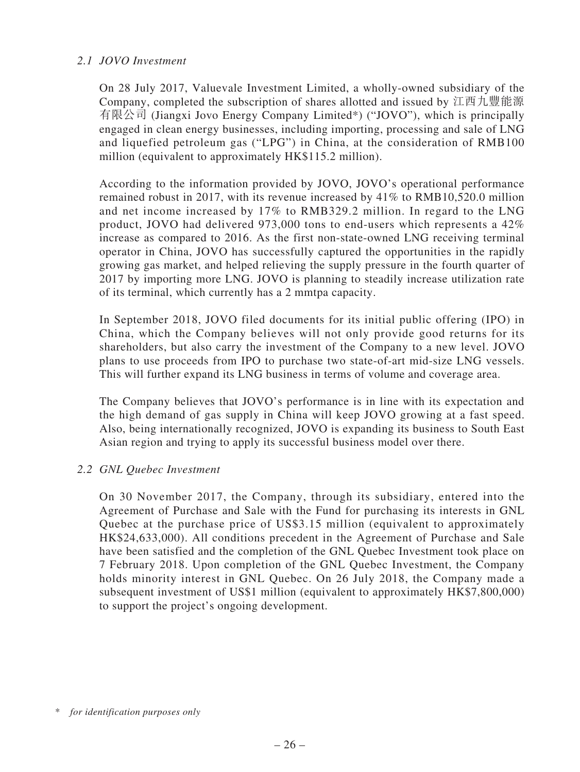### *2.1 JOVO Investment*

On 28 July 2017, Valuevale Investment Limited, a wholly-owned subsidiary of the Company, completed the subscription of shares allotted and issued by 江西九豐能源 有限公司 (Jiangxi Jovo Energy Company Limited\*) ("JOVO"), which is principally engaged in clean energy businesses, including importing, processing and sale of LNG and liquefied petroleum gas ("LPG") in China, at the consideration of RMB100 million (equivalent to approximately HK\$115.2 million).

According to the information provided by JOVO, JOVO's operational performance remained robust in 2017, with its revenue increased by 41% to RMB10,520.0 million and net income increased by 17% to RMB329.2 million. In regard to the LNG product, JOVO had delivered 973,000 tons to end-users which represents a 42% increase as compared to 2016. As the first non-state-owned LNG receiving terminal operator in China, JOVO has successfully captured the opportunities in the rapidly growing gas market, and helped relieving the supply pressure in the fourth quarter of 2017 by importing more LNG. JOVO is planning to steadily increase utilization rate of its terminal, which currently has a 2 mmtpa capacity.

In September 2018, JOVO filed documents for its initial public offering (IPO) in China, which the Company believes will not only provide good returns for its shareholders, but also carry the investment of the Company to a new level. JOVO plans to use proceeds from IPO to purchase two state-of-art mid-size LNG vessels. This will further expand its LNG business in terms of volume and coverage area.

The Company believes that JOVO's performance is in line with its expectation and the high demand of gas supply in China will keep JOVO growing at a fast speed. Also, being internationally recognized, JOVO is expanding its business to South East Asian region and trying to apply its successful business model over there.

### *2.2 GNL Quebec Investment*

On 30 November 2017, the Company, through its subsidiary, entered into the Agreement of Purchase and Sale with the Fund for purchasing its interests in GNL Quebec at the purchase price of US\$3.15 million (equivalent to approximately HK\$24,633,000). All conditions precedent in the Agreement of Purchase and Sale have been satisfied and the completion of the GNL Quebec Investment took place on 7 February 2018. Upon completion of the GNL Quebec Investment, the Company holds minority interest in GNL Quebec. On 26 July 2018, the Company made a subsequent investment of US\$1 million (equivalent to approximately HK\$7,800,000) to support the project's ongoing development.

<sup>\*</sup> *for identification purposes only*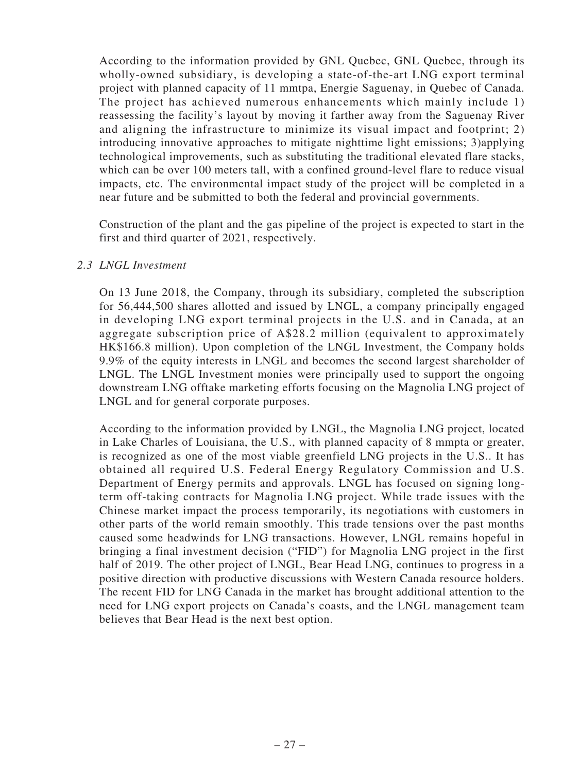According to the information provided by GNL Quebec, GNL Quebec, through its wholly-owned subsidiary, is developing a state-of-the-art LNG export terminal project with planned capacity of 11 mmtpa, Energie Saguenay, in Quebec of Canada. The project has achieved numerous enhancements which mainly include 1) reassessing the facility's layout by moving it farther away from the Saguenay River and aligning the infrastructure to minimize its visual impact and footprint; 2) introducing innovative approaches to mitigate nighttime light emissions; 3)applying technological improvements, such as substituting the traditional elevated flare stacks, which can be over 100 meters tall, with a confined ground-level flare to reduce visual impacts, etc. The environmental impact study of the project will be completed in a near future and be submitted to both the federal and provincial governments.

Construction of the plant and the gas pipeline of the project is expected to start in the first and third quarter of 2021, respectively.

#### *2.3 LNGL Investment*

On 13 June 2018, the Company, through its subsidiary, completed the subscription for 56,444,500 shares allotted and issued by LNGL, a company principally engaged in developing LNG export terminal projects in the U.S. and in Canada, at an aggregate subscription price of A\$28.2 million (equivalent to approximately HK\$166.8 million). Upon completion of the LNGL Investment, the Company holds 9.9% of the equity interests in LNGL and becomes the second largest shareholder of LNGL. The LNGL Investment monies were principally used to support the ongoing downstream LNG offtake marketing efforts focusing on the Magnolia LNG project of LNGL and for general corporate purposes.

According to the information provided by LNGL, the Magnolia LNG project, located in Lake Charles of Louisiana, the U.S., with planned capacity of 8 mmpta or greater, is recognized as one of the most viable greenfield LNG projects in the U.S.. It has obtained all required U.S. Federal Energy Regulatory Commission and U.S. Department of Energy permits and approvals. LNGL has focused on signing longterm off-taking contracts for Magnolia LNG project. While trade issues with the Chinese market impact the process temporarily, its negotiations with customers in other parts of the world remain smoothly. This trade tensions over the past months caused some headwinds for LNG transactions. However, LNGL remains hopeful in bringing a final investment decision ("FID") for Magnolia LNG project in the first half of 2019. The other project of LNGL, Bear Head LNG, continues to progress in a positive direction with productive discussions with Western Canada resource holders. The recent FID for LNG Canada in the market has brought additional attention to the need for LNG export projects on Canada's coasts, and the LNGL management team believes that Bear Head is the next best option.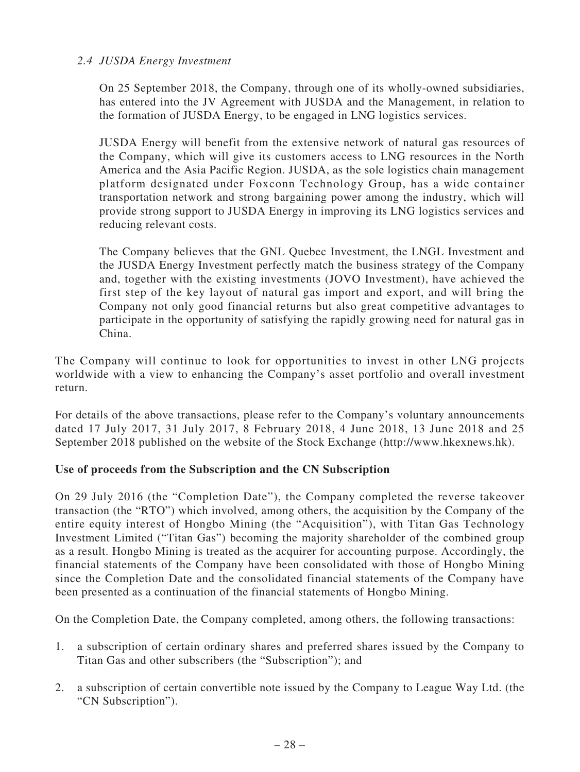### *2.4 JUSDA Energy Investment*

On 25 September 2018, the Company, through one of its wholly-owned subsidiaries, has entered into the JV Agreement with JUSDA and the Management, in relation to the formation of JUSDA Energy, to be engaged in LNG logistics services.

JUSDA Energy will benefit from the extensive network of natural gas resources of the Company, which will give its customers access to LNG resources in the North America and the Asia Pacific Region. JUSDA, as the sole logistics chain management platform designated under Foxconn Technology Group, has a wide container transportation network and strong bargaining power among the industry, which will provide strong support to JUSDA Energy in improving its LNG logistics services and reducing relevant costs.

The Company believes that the GNL Quebec Investment, the LNGL Investment and the JUSDA Energy Investment perfectly match the business strategy of the Company and, together with the existing investments (JOVO Investment), have achieved the first step of the key layout of natural gas import and export, and will bring the Company not only good financial returns but also great competitive advantages to participate in the opportunity of satisfying the rapidly growing need for natural gas in China.

The Company will continue to look for opportunities to invest in other LNG projects worldwide with a view to enhancing the Company's asset portfolio and overall investment return.

For details of the above transactions, please refer to the Company's voluntary announcements dated 17 July 2017, 31 July 2017, 8 February 2018, 4 June 2018, 13 June 2018 and 25 September 2018 published on the website of the Stock Exchange (http://www.hkexnews.hk).

### **Use of proceeds from the Subscription and the CN Subscription**

On 29 July 2016 (the "Completion Date"), the Company completed the reverse takeover transaction (the "RTO") which involved, among others, the acquisition by the Company of the entire equity interest of Hongbo Mining (the "Acquisition"), with Titan Gas Technology Investment Limited ("Titan Gas") becoming the majority shareholder of the combined group as a result. Hongbo Mining is treated as the acquirer for accounting purpose. Accordingly, the financial statements of the Company have been consolidated with those of Hongbo Mining since the Completion Date and the consolidated financial statements of the Company have been presented as a continuation of the financial statements of Hongbo Mining.

On the Completion Date, the Company completed, among others, the following transactions:

- 1. a subscription of certain ordinary shares and preferred shares issued by the Company to Titan Gas and other subscribers (the "Subscription"); and
- 2. a subscription of certain convertible note issued by the Company to League Way Ltd. (the "CN Subscription").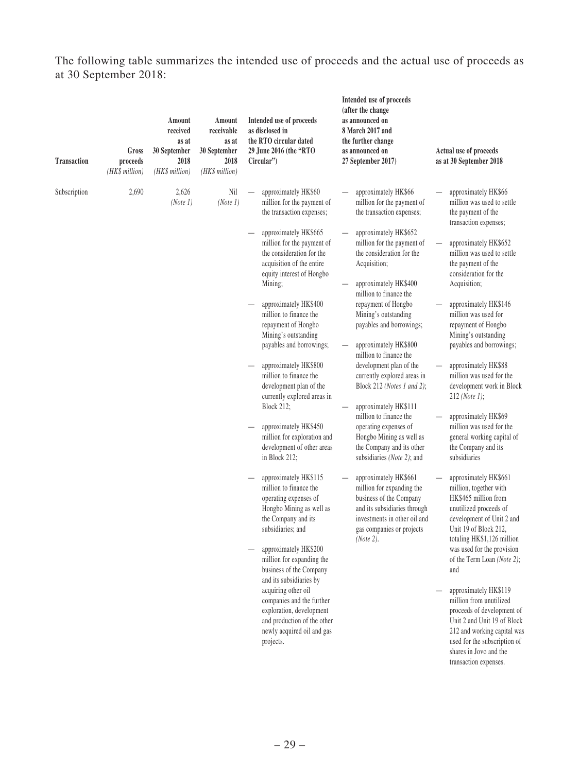The following table summarizes the intended use of proceeds and the actual use of proceeds as at 30 September 2018:

| Gross<br>Transaction<br>proceeds<br>(HK\$ million) | Amount<br>received<br>as at<br>30 September<br>2018<br>(HK\$ million) | Amount<br>receivable<br>as at<br>30 September<br>2018<br>(HK\$ million) | Intended use of proceeds<br>as disclosed in<br>the RTO circular dated<br>29 June 2016 (the "RTO<br>Circular")                                                                                                                                                                                                                                                                                                                                                                                                                                                                                                                                                                                                                                                                                                                                                                                                                                                                                                                             | Intended use of proceeds<br>(after the change)<br>as announced on<br>8 March 2017 and<br>the further change<br>as announced on<br>27 September 2017)                                                                                                                                                                                                                                                                                                                                                                                                                                                                                                                                                                                                                                                                       | Actual use of proceeds<br>as at 30 September 2018                                                                                                                                                                                                                                                                                                                                                                                                                                                                                                                                                                                                                                                                                                                                                                                                                                                                                                                                                                                                                                        |
|----------------------------------------------------|-----------------------------------------------------------------------|-------------------------------------------------------------------------|-------------------------------------------------------------------------------------------------------------------------------------------------------------------------------------------------------------------------------------------------------------------------------------------------------------------------------------------------------------------------------------------------------------------------------------------------------------------------------------------------------------------------------------------------------------------------------------------------------------------------------------------------------------------------------------------------------------------------------------------------------------------------------------------------------------------------------------------------------------------------------------------------------------------------------------------------------------------------------------------------------------------------------------------|----------------------------------------------------------------------------------------------------------------------------------------------------------------------------------------------------------------------------------------------------------------------------------------------------------------------------------------------------------------------------------------------------------------------------------------------------------------------------------------------------------------------------------------------------------------------------------------------------------------------------------------------------------------------------------------------------------------------------------------------------------------------------------------------------------------------------|------------------------------------------------------------------------------------------------------------------------------------------------------------------------------------------------------------------------------------------------------------------------------------------------------------------------------------------------------------------------------------------------------------------------------------------------------------------------------------------------------------------------------------------------------------------------------------------------------------------------------------------------------------------------------------------------------------------------------------------------------------------------------------------------------------------------------------------------------------------------------------------------------------------------------------------------------------------------------------------------------------------------------------------------------------------------------------------|
| 2,690<br>Subscription                              | 2,626<br>(Note 1)                                                     | Nil<br>(Note 1)                                                         | approximately HK\$60<br>million for the payment of<br>the transaction expenses;<br>approximately HK\$665<br>million for the payment of<br>the consideration for the<br>acquisition of the entire<br>equity interest of Hongbo<br>Mining;<br>approximately HK\$400<br>million to finance the<br>repayment of Hongbo<br>Mining's outstanding<br>payables and borrowings;<br>approximately HK\$800<br>million to finance the<br>development plan of the<br>currently explored areas in<br><b>Block 212;</b><br>approximately HK\$450<br>million for exploration and<br>development of other areas<br>in Block 212;<br>approximately HK\$115<br>million to finance the<br>operating expenses of<br>Hongbo Mining as well as<br>the Company and its<br>subsidiaries; and<br>approximately HK\$200<br>million for expanding the<br>business of the Company<br>and its subsidiaries by<br>acquiring other oil<br>companies and the further<br>exploration, development<br>and production of the other<br>newly acquired oil and gas<br>projects. | approximately HK\$66<br>million for the payment of<br>the transaction expenses;<br>approximately HK\$652<br>million for the payment of<br>the consideration for the<br>Acquisition;<br>approximately HK\$400<br>million to finance the<br>repayment of Hongbo<br>Mining's outstanding<br>payables and borrowings;<br>approximately HK\$800<br>million to finance the<br>development plan of the<br>currently explored areas in<br>Block 212 (Notes 1 and 2);<br>approximately HK\$111<br>million to finance the<br>operating expenses of<br>Hongbo Mining as well as<br>the Company and its other<br>subsidiaries (Note 2); and<br>approximately HK\$661<br>million for expanding the<br>business of the Company<br>and its subsidiaries through<br>investments in other oil and<br>gas companies or projects<br>(Note 2). | approximately HK\$66<br>million was used to settle<br>the payment of the<br>transaction expenses;<br>approximately HK\$652<br>million was used to settle<br>the payment of the<br>consideration for the<br>Acquisition;<br>approximately HK\$146<br>million was used for<br>repayment of Hongbo<br>Mining's outstanding<br>payables and borrowings;<br>approximately HK\$88<br>million was used for the<br>development work in Block<br>$212$ ( <i>Note 1</i> );<br>approximately HK\$69<br>million was used for the<br>general working capital of<br>the Company and its<br>subsidiaries<br>approximately HK\$661<br>million, together with<br>HK\$465 million from<br>unutilized proceeds of<br>development of Unit 2 and<br>Unit 19 of Block 212,<br>totaling HK\$1,126 million<br>was used for the provision<br>of the Term Loan (Note 2);<br>and<br>approximately HK\$119<br>million from unutilized<br>proceeds of development of<br>Unit 2 and Unit 19 of Block<br>212 and working capital was<br>used for the subscription of<br>shares in Jovo and the<br>transaction expenses. |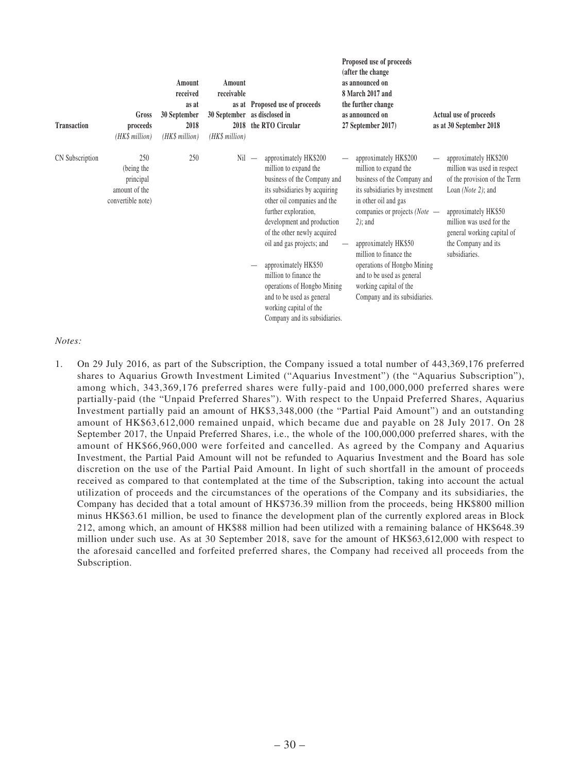| <b>Transaction</b> | Gross<br>proceeds<br>(HK\$ million)                                  | Amount<br>received<br>as at<br>30 September<br>2018<br>(HK\$ million) | Amount<br>receivable<br>as at<br>30 September<br>2018<br>(HK\$ million) | Proposed use of proceeds<br>as disclosed in<br>the RTO Circular                                                                                                                                                                                                                                                                                                                                                                                                      | Proposed use of proceeds<br>(after the change)<br>as announced on<br>8 March 2017 and<br>the further change<br>as announced on<br>27 September 2017)                                                                                                                                                                                                                      | Actual use of proceeds<br>as at 30 September 2018                                                                                                                                                                                    |
|--------------------|----------------------------------------------------------------------|-----------------------------------------------------------------------|-------------------------------------------------------------------------|----------------------------------------------------------------------------------------------------------------------------------------------------------------------------------------------------------------------------------------------------------------------------------------------------------------------------------------------------------------------------------------------------------------------------------------------------------------------|---------------------------------------------------------------------------------------------------------------------------------------------------------------------------------------------------------------------------------------------------------------------------------------------------------------------------------------------------------------------------|--------------------------------------------------------------------------------------------------------------------------------------------------------------------------------------------------------------------------------------|
| CN Subscription    | 250<br>(being the<br>principal<br>amount of the<br>convertible note) | 250                                                                   | Nil                                                                     | approximately HK\$200<br>$\overline{\phantom{a}}$<br>million to expand the<br>business of the Company and<br>its subsidiaries by acquiring<br>other oil companies and the<br>further exploration,<br>development and production<br>of the other newly acquired<br>oil and gas projects; and<br>approximately HK\$50<br>million to finance the<br>operations of Hongbo Mining<br>and to be used as general<br>working capital of the<br>Company and its subsidiaries. | approximately HK\$200<br>million to expand the<br>business of the Company and<br>its subsidiaries by investment<br>in other oil and gas<br>companies or projects ( <i>Note</i> $-$<br>$2)$ ; and<br>approximately HK\$50<br>million to finance the<br>operations of Hongbo Mining<br>and to be used as general<br>working capital of the<br>Company and its subsidiaries. | approximately HK\$200<br>million was used in respect<br>of the provision of the Term<br>Loan (Note 2); and<br>approximately HK\$50<br>million was used for the<br>general working capital of<br>the Company and its<br>subsidiaries. |

*Notes:*

1. On 29 July 2016, as part of the Subscription, the Company issued a total number of 443,369,176 preferred shares to Aquarius Growth Investment Limited ("Aquarius Investment") (the "Aquarius Subscription"), among which, 343,369,176 preferred shares were fully-paid and 100,000,000 preferred shares were partially-paid (the "Unpaid Preferred Shares"). With respect to the Unpaid Preferred Shares, Aquarius Investment partially paid an amount of HK\$3,348,000 (the "Partial Paid Amount") and an outstanding amount of HK\$63,612,000 remained unpaid, which became due and payable on 28 July 2017. On 28 September 2017, the Unpaid Preferred Shares, i.e., the whole of the 100,000,000 preferred shares, with the amount of HK\$66,960,000 were forfeited and cancelled. As agreed by the Company and Aquarius Investment, the Partial Paid Amount will not be refunded to Aquarius Investment and the Board has sole discretion on the use of the Partial Paid Amount. In light of such shortfall in the amount of proceeds received as compared to that contemplated at the time of the Subscription, taking into account the actual utilization of proceeds and the circumstances of the operations of the Company and its subsidiaries, the Company has decided that a total amount of HK\$736.39 million from the proceeds, being HK\$800 million minus HK\$63.61 million, be used to finance the development plan of the currently explored areas in Block 212, among which, an amount of HK\$88 million had been utilized with a remaining balance of HK\$648.39 million under such use. As at 30 September 2018, save for the amount of HK\$63,612,000 with respect to the aforesaid cancelled and forfeited preferred shares, the Company had received all proceeds from the Subscription.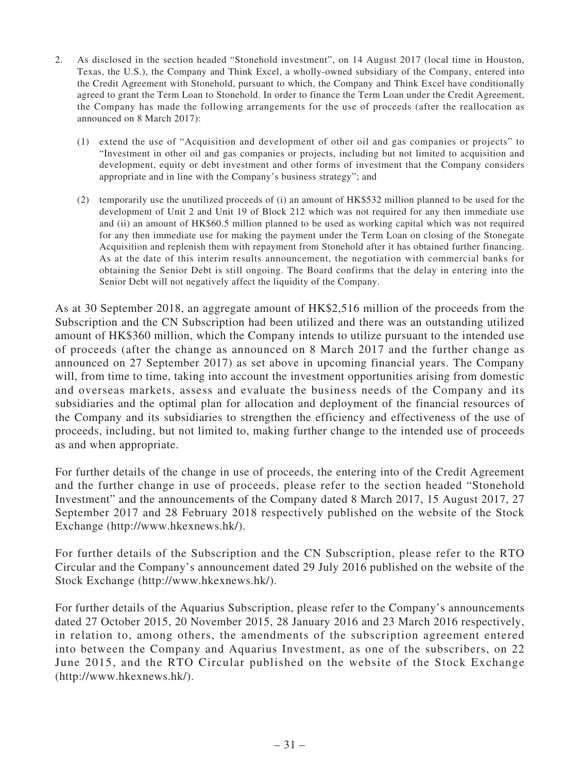- 2. As disclosed in the section headed "Stonehold investment", on 14 August 2017 (local time in Houston, Texas, the U.S.), the Company and Think Excel, a wholly-owned subsidiary of the Company, entered into the Credit Agreement with Stonehold, pursuant to which, the Company and Think Excel have conditionally agreed to grant the Term Loan to Stonehold. In order to finance the Term Loan under the Credit Agreement, the Company has made the following arrangements for the use of proceeds (after the reallocation as announced on 8 March 2017):
	- (1) extend the use of "Acquisition and development of other oil and gas companies or projects" to "Investment in other oil and gas companies or projects, including but not limited to acquisition and development, equity or debt investment and other forms of investment that the Company considers appropriate and in line with the Company's business strategy"; and
	- (2) temporarily use the unutilized proceeds of (i) an amount of HK\$532 million planned to be used for the development of Unit 2 and Unit 19 of Block 212 which was not required for any then immediate use and (ii) an amount of HK\$60.5 million planned to be used as working capital which was not required for any then immediate use for making the payment under the Term Loan on closing of the Stonegate Acquisition and replenish them with repayment from Stonehold after it has obtained further financing. As at the date of this interim results announcement, the negotiation with commercial banks for obtaining the Senior Debt is still ongoing. The Board confirms that the delay in entering into the Senior Debt will not negatively affect the liquidity of the Company.

As at 30 September 2018, an aggregate amount of HK\$2,516 million of the proceeds from the Subscription and the CN Subscription had been utilized and there was an outstanding utilized amount of HK\$360 million, which the Company intends to utilize pursuant to the intended use of proceeds (after the change as announced on 8 March 2017 and the further change as announced on 27 September 2017) as set above in upcoming financial years. The Company will, from time to time, taking into account the investment opportunities arising from domestic and overseas markets, assess and evaluate the business needs of the Company and its subsidiaries and the optimal plan for allocation and deployment of the financial resources of the Company and its subsidiaries to strengthen the efficiency and effectiveness of the use of proceeds, including, but not limited to, making further change to the intended use of proceeds as and when appropriate.

For further details of the change in use of proceeds, the entering into of the Credit Agreement and the further change in use of proceeds, please refer to the section headed "Stonehold Investment" and the announcements of the Company dated 8 March 2017, 15 August 2017, 27 September 2017 and 28 February 2018 respectively published on the website of the Stock Exchange (http://www.hkexnews.hk/).

For further details of the Subscription and the CN Subscription, please refer to the RTO Circular and the Company's announcement dated 29 July 2016 published on the website of the Stock Exchange (http://www.hkexnews.hk/).

For further details of the Aquarius Subscription, please refer to the Company's announcements dated 27 October 2015, 20 November 2015, 28 January 2016 and 23 March 2016 respectively, in relation to, among others, the amendments of the subscription agreement entered into between the Company and Aquarius Investment, as one of the subscribers, on 22 June 2015, and the RTO Circular published on the website of the Stock Exchange (http://www.hkexnews.hk/).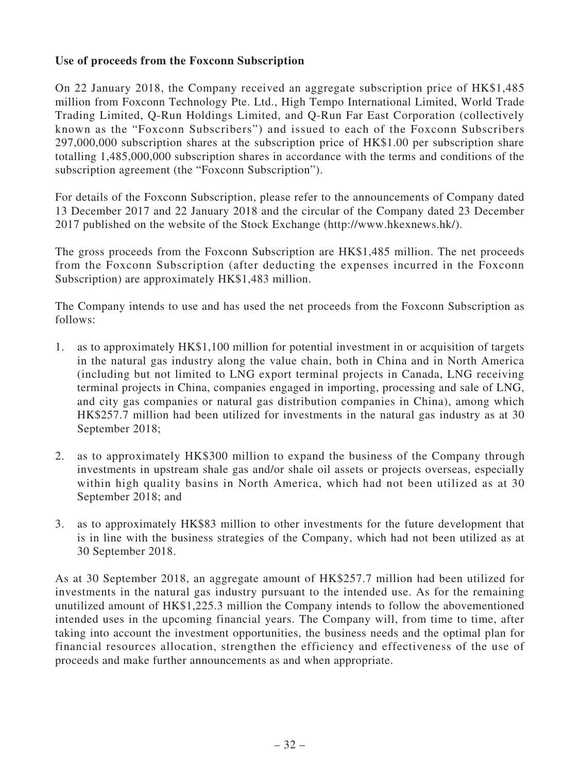### **Use of proceeds from the Foxconn Subscription**

On 22 January 2018, the Company received an aggregate subscription price of HK\$1,485 million from Foxconn Technology Pte. Ltd., High Tempo International Limited, World Trade Trading Limited, Q-Run Holdings Limited, and Q-Run Far East Corporation (collectively known as the "Foxconn Subscribers") and issued to each of the Foxconn Subscribers 297,000,000 subscription shares at the subscription price of HK\$1.00 per subscription share totalling 1,485,000,000 subscription shares in accordance with the terms and conditions of the subscription agreement (the "Foxconn Subscription").

For details of the Foxconn Subscription, please refer to the announcements of Company dated 13 December 2017 and 22 January 2018 and the circular of the Company dated 23 December 2017 published on the website of the Stock Exchange (http://www.hkexnews.hk/).

The gross proceeds from the Foxconn Subscription are HK\$1,485 million. The net proceeds from the Foxconn Subscription (after deducting the expenses incurred in the Foxconn Subscription) are approximately HK\$1,483 million.

The Company intends to use and has used the net proceeds from the Foxconn Subscription as follows:

- 1. as to approximately HK\$1,100 million for potential investment in or acquisition of targets in the natural gas industry along the value chain, both in China and in North America (including but not limited to LNG export terminal projects in Canada, LNG receiving terminal projects in China, companies engaged in importing, processing and sale of LNG, and city gas companies or natural gas distribution companies in China), among which HK\$257.7 million had been utilized for investments in the natural gas industry as at 30 September 2018;
- 2. as to approximately HK\$300 million to expand the business of the Company through investments in upstream shale gas and/or shale oil assets or projects overseas, especially within high quality basins in North America, which had not been utilized as at 30 September 2018; and
- 3. as to approximately HK\$83 million to other investments for the future development that is in line with the business strategies of the Company, which had not been utilized as at 30 September 2018.

As at 30 September 2018, an aggregate amount of HK\$257.7 million had been utilized for investments in the natural gas industry pursuant to the intended use. As for the remaining unutilized amount of HK\$1,225.3 million the Company intends to follow the abovementioned intended uses in the upcoming financial years. The Company will, from time to time, after taking into account the investment opportunities, the business needs and the optimal plan for financial resources allocation, strengthen the efficiency and effectiveness of the use of proceeds and make further announcements as and when appropriate.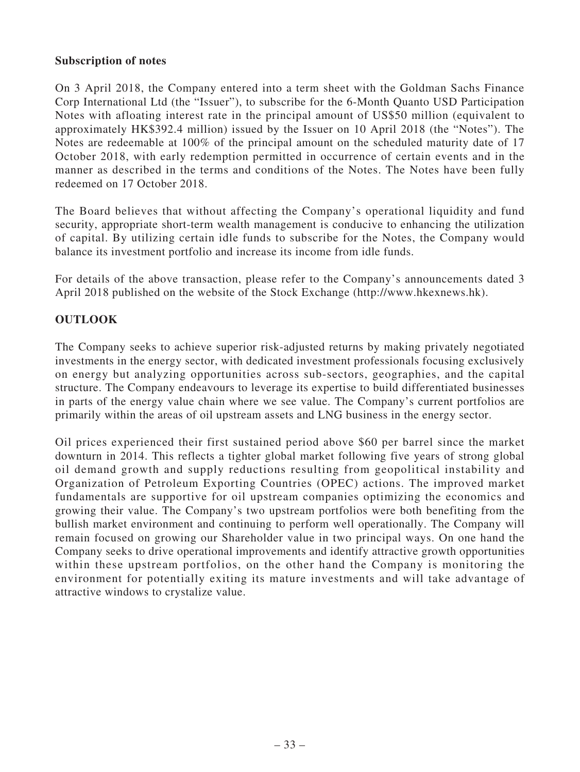### **Subscription of notes**

On 3 April 2018, the Company entered into a term sheet with the Goldman Sachs Finance Corp International Ltd (the "Issuer"), to subscribe for the 6-Month Quanto USD Participation Notes with afloating interest rate in the principal amount of US\$50 million (equivalent to approximately HK\$392.4 million) issued by the Issuer on 10 April 2018 (the "Notes"). The Notes are redeemable at 100% of the principal amount on the scheduled maturity date of 17 October 2018, with early redemption permitted in occurrence of certain events and in the manner as described in the terms and conditions of the Notes. The Notes have been fully redeemed on 17 October 2018.

The Board believes that without affecting the Company's operational liquidity and fund security, appropriate short-term wealth management is conducive to enhancing the utilization of capital. By utilizing certain idle funds to subscribe for the Notes, the Company would balance its investment portfolio and increase its income from idle funds.

For details of the above transaction, please refer to the Company's announcements dated 3 April 2018 published on the website of the Stock Exchange (http://www.hkexnews.hk).

### **OUTLOOK**

The Company seeks to achieve superior risk-adjusted returns by making privately negotiated investments in the energy sector, with dedicated investment professionals focusing exclusively on energy but analyzing opportunities across sub-sectors, geographies, and the capital structure. The Company endeavours to leverage its expertise to build differentiated businesses in parts of the energy value chain where we see value. The Company's current portfolios are primarily within the areas of oil upstream assets and LNG business in the energy sector.

Oil prices experienced their first sustained period above \$60 per barrel since the market downturn in 2014. This reflects a tighter global market following five years of strong global oil demand growth and supply reductions resulting from geopolitical instability and Organization of Petroleum Exporting Countries (OPEC) actions. The improved market fundamentals are supportive for oil upstream companies optimizing the economics and growing their value. The Company's two upstream portfolios were both benefiting from the bullish market environment and continuing to perform well operationally. The Company will remain focused on growing our Shareholder value in two principal ways. On one hand the Company seeks to drive operational improvements and identify attractive growth opportunities within these upstream portfolios, on the other hand the Company is monitoring the environment for potentially exiting its mature investments and will take advantage of attractive windows to crystalize value.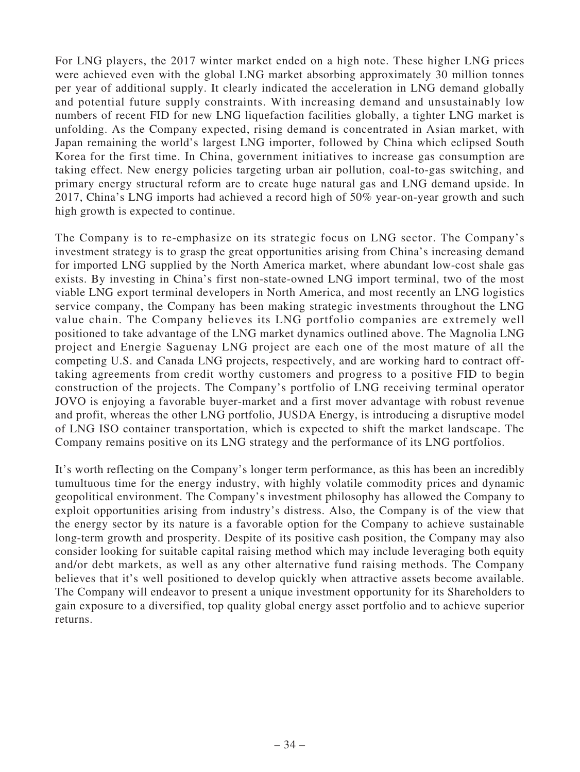For LNG players, the 2017 winter market ended on a high note. These higher LNG prices were achieved even with the global LNG market absorbing approximately 30 million tonnes per year of additional supply. It clearly indicated the acceleration in LNG demand globally and potential future supply constraints. With increasing demand and unsustainably low numbers of recent FID for new LNG liquefaction facilities globally, a tighter LNG market is unfolding. As the Company expected, rising demand is concentrated in Asian market, with Japan remaining the world's largest LNG importer, followed by China which eclipsed South Korea for the first time. In China, government initiatives to increase gas consumption are taking effect. New energy policies targeting urban air pollution, coal-to-gas switching, and primary energy structural reform are to create huge natural gas and LNG demand upside. In 2017, China's LNG imports had achieved a record high of 50% year-on-year growth and such high growth is expected to continue.

The Company is to re-emphasize on its strategic focus on LNG sector. The Company's investment strategy is to grasp the great opportunities arising from China's increasing demand for imported LNG supplied by the North America market, where abundant low-cost shale gas exists. By investing in China's first non-state-owned LNG import terminal, two of the most viable LNG export terminal developers in North America, and most recently an LNG logistics service company, the Company has been making strategic investments throughout the LNG value chain. The Company believes its LNG portfolio companies are extremely well positioned to take advantage of the LNG market dynamics outlined above. The Magnolia LNG project and Energie Saguenay LNG project are each one of the most mature of all the competing U.S. and Canada LNG projects, respectively, and are working hard to contract offtaking agreements from credit worthy customers and progress to a positive FID to begin construction of the projects. The Company's portfolio of LNG receiving terminal operator JOVO is enjoying a favorable buyer-market and a first mover advantage with robust revenue and profit, whereas the other LNG portfolio, JUSDA Energy, is introducing a disruptive model of LNG ISO container transportation, which is expected to shift the market landscape. The Company remains positive on its LNG strategy and the performance of its LNG portfolios.

It's worth reflecting on the Company's longer term performance, as this has been an incredibly tumultuous time for the energy industry, with highly volatile commodity prices and dynamic geopolitical environment. The Company's investment philosophy has allowed the Company to exploit opportunities arising from industry's distress. Also, the Company is of the view that the energy sector by its nature is a favorable option for the Company to achieve sustainable long-term growth and prosperity. Despite of its positive cash position, the Company may also consider looking for suitable capital raising method which may include leveraging both equity and/or debt markets, as well as any other alternative fund raising methods. The Company believes that it's well positioned to develop quickly when attractive assets become available. The Company will endeavor to present a unique investment opportunity for its Shareholders to gain exposure to a diversified, top quality global energy asset portfolio and to achieve superior returns.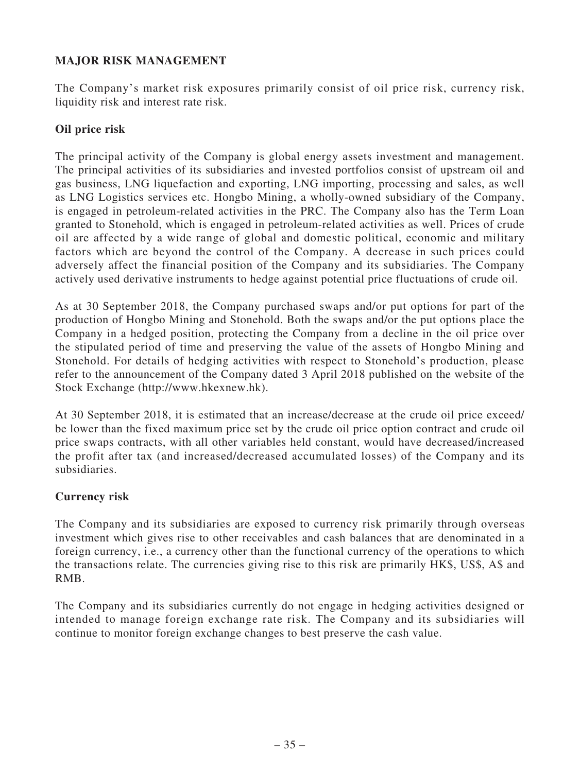### **MAJOR RISK MANAGEMENT**

The Company's market risk exposures primarily consist of oil price risk, currency risk, liquidity risk and interest rate risk.

### **Oil price risk**

The principal activity of the Company is global energy assets investment and management. The principal activities of its subsidiaries and invested portfolios consist of upstream oil and gas business, LNG liquefaction and exporting, LNG importing, processing and sales, as well as LNG Logistics services etc. Hongbo Mining, a wholly-owned subsidiary of the Company, is engaged in petroleum-related activities in the PRC. The Company also has the Term Loan granted to Stonehold, which is engaged in petroleum-related activities as well. Prices of crude oil are affected by a wide range of global and domestic political, economic and military factors which are beyond the control of the Company. A decrease in such prices could adversely affect the financial position of the Company and its subsidiaries. The Company actively used derivative instruments to hedge against potential price fluctuations of crude oil.

As at 30 September 2018, the Company purchased swaps and/or put options for part of the production of Hongbo Mining and Stonehold. Both the swaps and/or the put options place the Company in a hedged position, protecting the Company from a decline in the oil price over the stipulated period of time and preserving the value of the assets of Hongbo Mining and Stonehold. For details of hedging activities with respect to Stonehold's production, please refer to the announcement of the Company dated 3 April 2018 published on the website of the Stock Exchange (http://www.hkexnew.hk).

At 30 September 2018, it is estimated that an increase/decrease at the crude oil price exceed/ be lower than the fixed maximum price set by the crude oil price option contract and crude oil price swaps contracts, with all other variables held constant, would have decreased/increased the profit after tax (and increased/decreased accumulated losses) of the Company and its subsidiaries.

### **Currency risk**

The Company and its subsidiaries are exposed to currency risk primarily through overseas investment which gives rise to other receivables and cash balances that are denominated in a foreign currency, i.e., a currency other than the functional currency of the operations to which the transactions relate. The currencies giving rise to this risk are primarily HK\$, US\$, A\$ and RMB.

The Company and its subsidiaries currently do not engage in hedging activities designed or intended to manage foreign exchange rate risk. The Company and its subsidiaries will continue to monitor foreign exchange changes to best preserve the cash value.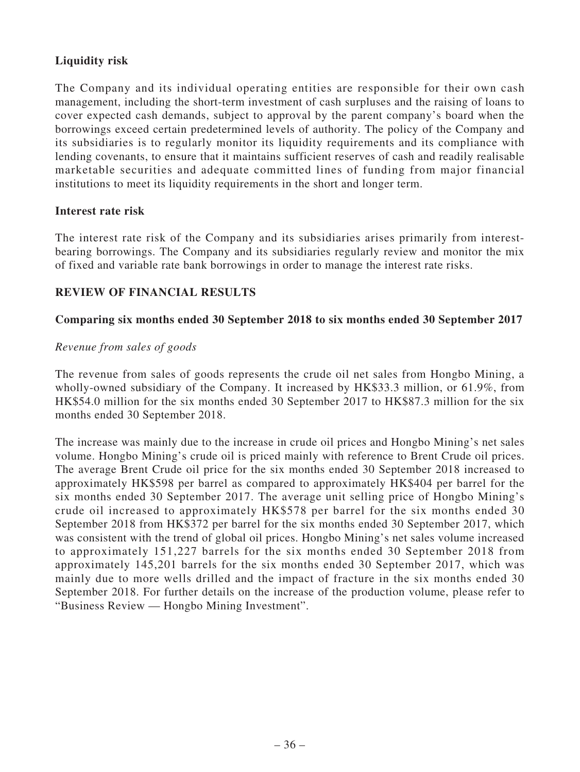### **Liquidity risk**

The Company and its individual operating entities are responsible for their own cash management, including the short-term investment of cash surpluses and the raising of loans to cover expected cash demands, subject to approval by the parent company's board when the borrowings exceed certain predetermined levels of authority. The policy of the Company and its subsidiaries is to regularly monitor its liquidity requirements and its compliance with lending covenants, to ensure that it maintains sufficient reserves of cash and readily realisable marketable securities and adequate committed lines of funding from major financial institutions to meet its liquidity requirements in the short and longer term.

#### **Interest rate risk**

The interest rate risk of the Company and its subsidiaries arises primarily from interestbearing borrowings. The Company and its subsidiaries regularly review and monitor the mix of fixed and variable rate bank borrowings in order to manage the interest rate risks.

### **REVIEW OF FINANCIAL RESULTS**

#### **Comparing six months ended 30 September 2018 to six months ended 30 September 2017**

#### *Revenue from sales of goods*

The revenue from sales of goods represents the crude oil net sales from Hongbo Mining, a wholly-owned subsidiary of the Company. It increased by HK\$33.3 million, or 61.9%, from HK\$54.0 million for the six months ended 30 September 2017 to HK\$87.3 million for the six months ended 30 September 2018.

The increase was mainly due to the increase in crude oil prices and Hongbo Mining's net sales volume. Hongbo Mining's crude oil is priced mainly with reference to Brent Crude oil prices. The average Brent Crude oil price for the six months ended 30 September 2018 increased to approximately HK\$598 per barrel as compared to approximately HK\$404 per barrel for the six months ended 30 September 2017. The average unit selling price of Hongbo Mining's crude oil increased to approximately HK\$578 per barrel for the six months ended 30 September 2018 from HK\$372 per barrel for the six months ended 30 September 2017, which was consistent with the trend of global oil prices. Hongbo Mining's net sales volume increased to approximately 151,227 barrels for the six months ended 30 September 2018 from approximately 145,201 barrels for the six months ended 30 September 2017, which was mainly due to more wells drilled and the impact of fracture in the six months ended 30 September 2018. For further details on the increase of the production volume, please refer to "Business Review — Hongbo Mining Investment".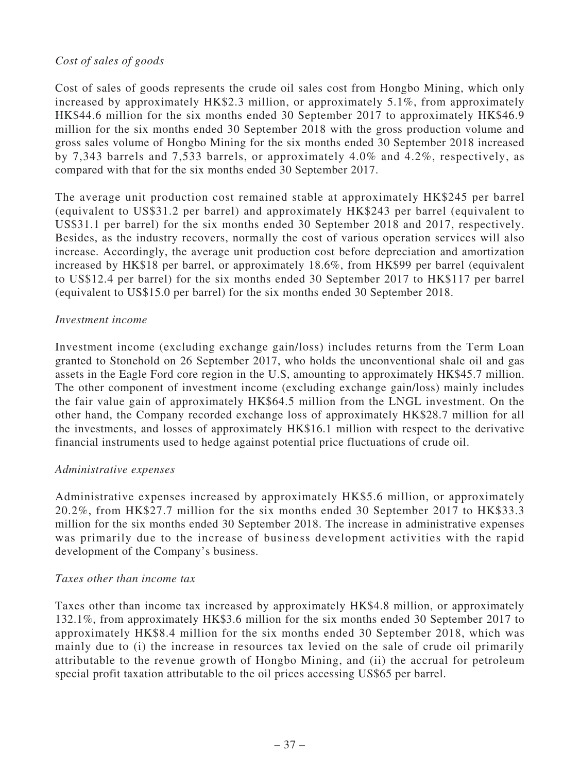### *Cost of sales of goods*

Cost of sales of goods represents the crude oil sales cost from Hongbo Mining, which only increased by approximately HK\$2.3 million, or approximately 5.1%, from approximately HK\$44.6 million for the six months ended 30 September 2017 to approximately HK\$46.9 million for the six months ended 30 September 2018 with the gross production volume and gross sales volume of Hongbo Mining for the six months ended 30 September 2018 increased by 7,343 barrels and 7,533 barrels, or approximately 4.0% and 4.2%, respectively, as compared with that for the six months ended 30 September 2017.

The average unit production cost remained stable at approximately HK\$245 per barrel (equivalent to US\$31.2 per barrel) and approximately HK\$243 per barrel (equivalent to US\$31.1 per barrel) for the six months ended 30 September 2018 and 2017, respectively. Besides, as the industry recovers, normally the cost of various operation services will also increase. Accordingly, the average unit production cost before depreciation and amortization increased by HK\$18 per barrel, or approximately 18.6%, from HK\$99 per barrel (equivalent to US\$12.4 per barrel) for the six months ended 30 September 2017 to HK\$117 per barrel (equivalent to US\$15.0 per barrel) for the six months ended 30 September 2018.

#### *Investment income*

Investment income (excluding exchange gain/loss) includes returns from the Term Loan granted to Stonehold on 26 September 2017, who holds the unconventional shale oil and gas assets in the Eagle Ford core region in the U.S, amounting to approximately HK\$45.7 million. The other component of investment income (excluding exchange gain/loss) mainly includes the fair value gain of approximately HK\$64.5 million from the LNGL investment. On the other hand, the Company recorded exchange loss of approximately HK\$28.7 million for all the investments, and losses of approximately HK\$16.1 million with respect to the derivative financial instruments used to hedge against potential price fluctuations of crude oil.

#### *Administrative expenses*

Administrative expenses increased by approximately HK\$5.6 million, or approximately 20.2%, from HK\$27.7 million for the six months ended 30 September 2017 to HK\$33.3 million for the six months ended 30 September 2018. The increase in administrative expenses was primarily due to the increase of business development activities with the rapid development of the Company's business.

### *Taxes other than income tax*

Taxes other than income tax increased by approximately HK\$4.8 million, or approximately 132.1%, from approximately HK\$3.6 million for the six months ended 30 September 2017 to approximately HK\$8.4 million for the six months ended 30 September 2018, which was mainly due to (i) the increase in resources tax levied on the sale of crude oil primarily attributable to the revenue growth of Hongbo Mining, and (ii) the accrual for petroleum special profit taxation attributable to the oil prices accessing US\$65 per barrel.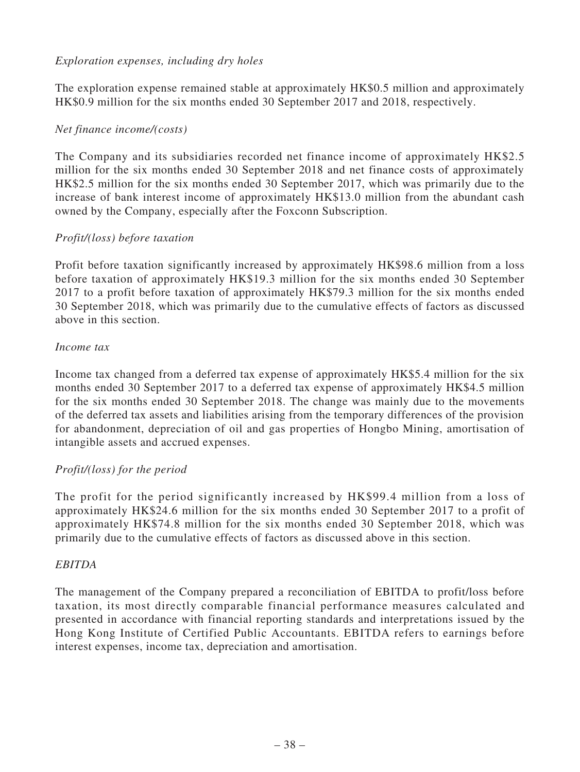### *Exploration expenses, including dry holes*

The exploration expense remained stable at approximately HK\$0.5 million and approximately HK\$0.9 million for the six months ended 30 September 2017 and 2018, respectively.

#### *Net finance income/(costs)*

The Company and its subsidiaries recorded net finance income of approximately HK\$2.5 million for the six months ended 30 September 2018 and net finance costs of approximately HK\$2.5 million for the six months ended 30 September 2017, which was primarily due to the increase of bank interest income of approximately HK\$13.0 million from the abundant cash owned by the Company, especially after the Foxconn Subscription.

#### *Profit/(loss) before taxation*

Profit before taxation significantly increased by approximately HK\$98.6 million from a loss before taxation of approximately HK\$19.3 million for the six months ended 30 September 2017 to a profit before taxation of approximately HK\$79.3 million for the six months ended 30 September 2018, which was primarily due to the cumulative effects of factors as discussed above in this section.

#### *Income tax*

Income tax changed from a deferred tax expense of approximately HK\$5.4 million for the six months ended 30 September 2017 to a deferred tax expense of approximately HK\$4.5 million for the six months ended 30 September 2018. The change was mainly due to the movements of the deferred tax assets and liabilities arising from the temporary differences of the provision for abandonment, depreciation of oil and gas properties of Hongbo Mining, amortisation of intangible assets and accrued expenses.

### *Profit/(loss) for the period*

The profit for the period significantly increased by HK\$99.4 million from a loss of approximately HK\$24.6 million for the six months ended 30 September 2017 to a profit of approximately HK\$74.8 million for the six months ended 30 September 2018, which was primarily due to the cumulative effects of factors as discussed above in this section.

#### *EBITDA*

The management of the Company prepared a reconciliation of EBITDA to profit/loss before taxation, its most directly comparable financial performance measures calculated and presented in accordance with financial reporting standards and interpretations issued by the Hong Kong Institute of Certified Public Accountants. EBITDA refers to earnings before interest expenses, income tax, depreciation and amortisation.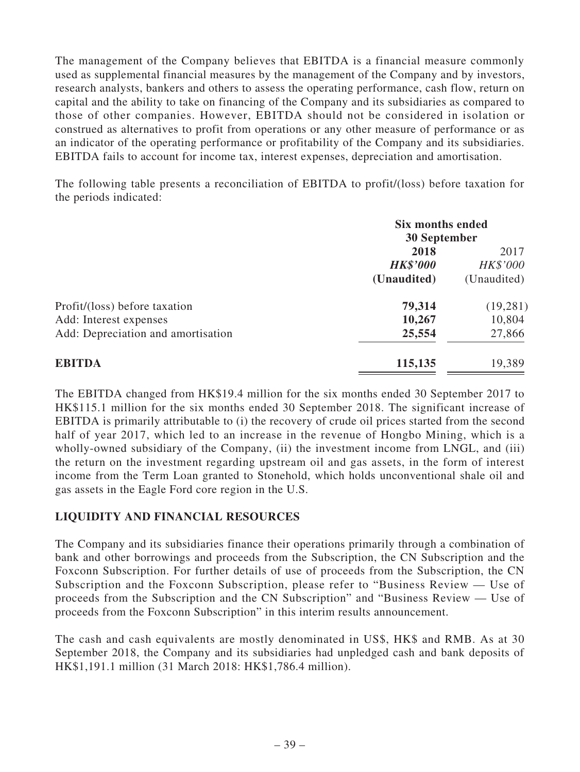The management of the Company believes that EBITDA is a financial measure commonly used as supplemental financial measures by the management of the Company and by investors, research analysts, bankers and others to assess the operating performance, cash flow, return on capital and the ability to take on financing of the Company and its subsidiaries as compared to those of other companies. However, EBITDA should not be considered in isolation or construed as alternatives to profit from operations or any other measure of performance or as an indicator of the operating performance or profitability of the Company and its subsidiaries. EBITDA fails to account for income tax, interest expenses, depreciation and amortisation.

The following table presents a reconciliation of EBITDA to profit/(loss) before taxation for the periods indicated:

|                                    | Six months ended<br><b>30 September</b> |             |  |
|------------------------------------|-----------------------------------------|-------------|--|
|                                    | 2018                                    | 2017        |  |
|                                    | <b>HK\$'000</b>                         | HK\$'000    |  |
|                                    | (Unaudited)                             | (Unaudited) |  |
| Profit/(loss) before taxation      | 79,314                                  | (19, 281)   |  |
| Add: Interest expenses             | 10,267                                  | 10,804      |  |
| Add: Depreciation and amortisation | 25,554                                  | 27,866      |  |
| <b>EBITDA</b>                      | 115,135                                 | 19,389      |  |

The EBITDA changed from HK\$19.4 million for the six months ended 30 September 2017 to HK\$115.1 million for the six months ended 30 September 2018. The significant increase of EBITDA is primarily attributable to (i) the recovery of crude oil prices started from the second half of year 2017, which led to an increase in the revenue of Hongbo Mining, which is a wholly-owned subsidiary of the Company, (ii) the investment income from LNGL, and (iii) the return on the investment regarding upstream oil and gas assets, in the form of interest income from the Term Loan granted to Stonehold, which holds unconventional shale oil and gas assets in the Eagle Ford core region in the U.S.

### **LIQUIDITY AND FINANCIAL RESOURCES**

The Company and its subsidiaries finance their operations primarily through a combination of bank and other borrowings and proceeds from the Subscription, the CN Subscription and the Foxconn Subscription. For further details of use of proceeds from the Subscription, the CN Subscription and the Foxconn Subscription, please refer to "Business Review — Use of proceeds from the Subscription and the CN Subscription" and "Business Review — Use of proceeds from the Foxconn Subscription" in this interim results announcement.

The cash and cash equivalents are mostly denominated in US\$, HK\$ and RMB. As at 30 September 2018, the Company and its subsidiaries had unpledged cash and bank deposits of HK\$1,191.1 million (31 March 2018: HK\$1,786.4 million).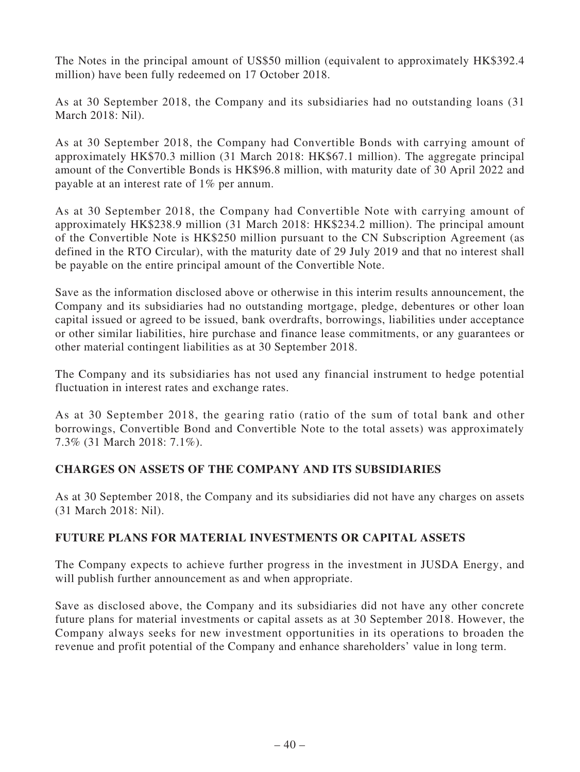The Notes in the principal amount of US\$50 million (equivalent to approximately HK\$392.4 million) have been fully redeemed on 17 October 2018.

As at 30 September 2018, the Company and its subsidiaries had no outstanding loans (31 March 2018: Nil).

As at 30 September 2018, the Company had Convertible Bonds with carrying amount of approximately HK\$70.3 million (31 March 2018: HK\$67.1 million). The aggregate principal amount of the Convertible Bonds is HK\$96.8 million, with maturity date of 30 April 2022 and payable at an interest rate of 1% per annum.

As at 30 September 2018, the Company had Convertible Note with carrying amount of approximately HK\$238.9 million (31 March 2018: HK\$234.2 million). The principal amount of the Convertible Note is HK\$250 million pursuant to the CN Subscription Agreement (as defined in the RTO Circular), with the maturity date of 29 July 2019 and that no interest shall be payable on the entire principal amount of the Convertible Note.

Save as the information disclosed above or otherwise in this interim results announcement, the Company and its subsidiaries had no outstanding mortgage, pledge, debentures or other loan capital issued or agreed to be issued, bank overdrafts, borrowings, liabilities under acceptance or other similar liabilities, hire purchase and finance lease commitments, or any guarantees or other material contingent liabilities as at 30 September 2018.

The Company and its subsidiaries has not used any financial instrument to hedge potential fluctuation in interest rates and exchange rates.

As at 30 September 2018, the gearing ratio (ratio of the sum of total bank and other borrowings, Convertible Bond and Convertible Note to the total assets) was approximately 7.3% (31 March 2018: 7.1%).

### **CHARGES ON ASSETS OF THE COMPANY AND ITS SUBSIDIARIES**

As at 30 September 2018, the Company and its subsidiaries did not have any charges on assets (31 March 2018: Nil).

### **FUTURE PLANS FOR MATERIAL INVESTMENTS OR CAPITAL ASSETS**

The Company expects to achieve further progress in the investment in JUSDA Energy, and will publish further announcement as and when appropriate.

Save as disclosed above, the Company and its subsidiaries did not have any other concrete future plans for material investments or capital assets as at 30 September 2018. However, the Company always seeks for new investment opportunities in its operations to broaden the revenue and profit potential of the Company and enhance shareholders' value in long term.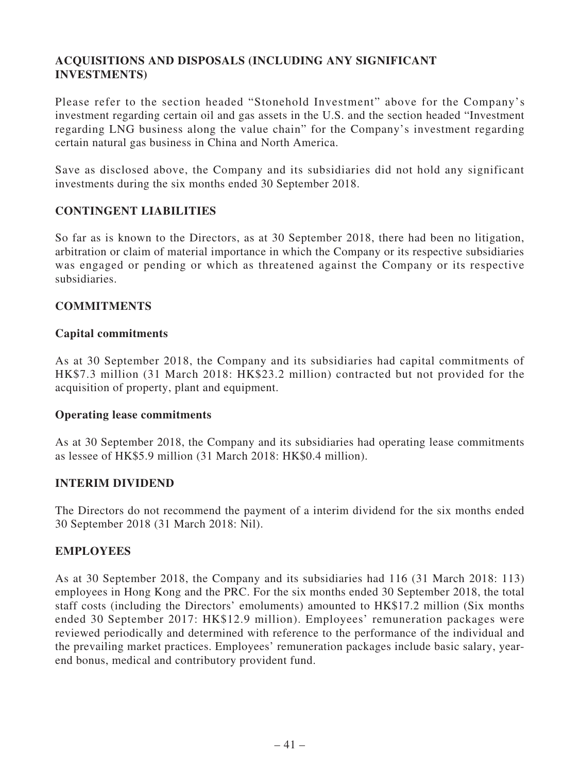### **ACQUISITIONS AND DISPOSALS (INCLUDING ANY SIGNIFICANT INVESTMENTS)**

Please refer to the section headed "Stonehold Investment" above for the Company's investment regarding certain oil and gas assets in the U.S. and the section headed "Investment regarding LNG business along the value chain" for the Company's investment regarding certain natural gas business in China and North America.

Save as disclosed above, the Company and its subsidiaries did not hold any significant investments during the six months ended 30 September 2018.

### **CONTINGENT LIABILITIES**

So far as is known to the Directors, as at 30 September 2018, there had been no litigation, arbitration or claim of material importance in which the Company or its respective subsidiaries was engaged or pending or which as threatened against the Company or its respective subsidiaries.

### **COMMITMENTS**

### **Capital commitments**

As at 30 September 2018, the Company and its subsidiaries had capital commitments of HK\$7.3 million (31 March 2018: HK\$23.2 million) contracted but not provided for the acquisition of property, plant and equipment.

### **Operating lease commitments**

As at 30 September 2018, the Company and its subsidiaries had operating lease commitments as lessee of HK\$5.9 million (31 March 2018: HK\$0.4 million).

### **INTERIM DIVIDEND**

The Directors do not recommend the payment of a interim dividend for the six months ended 30 September 2018 (31 March 2018: Nil).

### **EMPLOYEES**

As at 30 September 2018, the Company and its subsidiaries had 116 (31 March 2018: 113) employees in Hong Kong and the PRC. For the six months ended 30 September 2018, the total staff costs (including the Directors' emoluments) amounted to HK\$17.2 million (Six months ended 30 September 2017: HK\$12.9 million). Employees' remuneration packages were reviewed periodically and determined with reference to the performance of the individual and the prevailing market practices. Employees' remuneration packages include basic salary, yearend bonus, medical and contributory provident fund.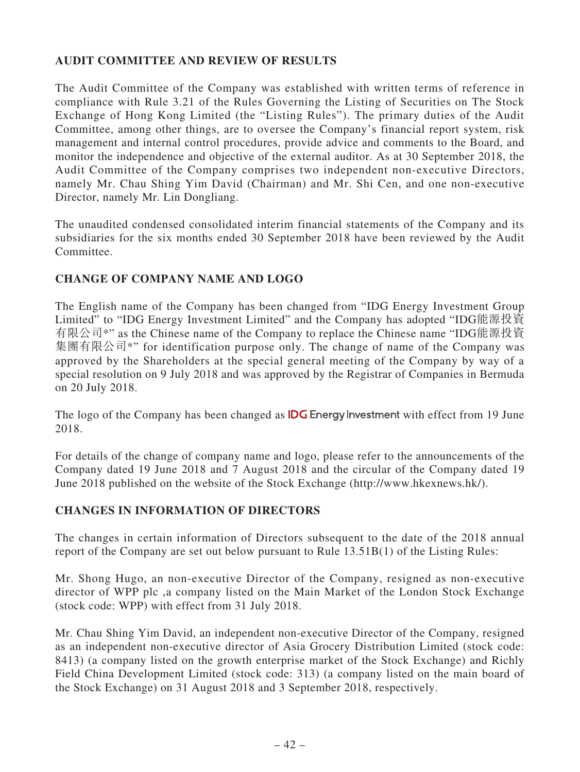### **AUDIT COMMITTEE AND REVIEW OF RESULTS**

The Audit Committee of the Company was established with written terms of reference in compliance with Rule 3.21 of the Rules Governing the Listing of Securities on The Stock Exchange of Hong Kong Limited (the "Listing Rules"). The primary duties of the Audit Committee, among other things, are to oversee the Company's financial report system, risk management and internal control procedures, provide advice and comments to the Board, and monitor the independence and objective of the external auditor. As at 30 September 2018, the Audit Committee of the Company comprises two independent non-executive Directors, namely Mr. Chau Shing Yim David (Chairman) and Mr. Shi Cen, and one non-executive Director, namely Mr. Lin Dongliang.

The unaudited condensed consolidated interim financial statements of the Company and its subsidiaries for the six months ended 30 September 2018 have been reviewed by the Audit Committee.

### **CHANGE OF COMPANY NAME AND LOGO**

The English name of the Company has been changed from "IDG Energy Investment Group Limited" to "IDG Energy Investment Limited" and the Company has adopted "IDG能源投資 有限公司\*" as the Chinese name of the Company to replace the Chinese name "IDG能源投資 集團有限公司\*" for identification purpose only. The change of name of the Company was approved by the Shareholders at the special general meeting of the Company by way of a special resolution on 9 July 2018 and was approved by the Registrar of Companies in Bermuda on 20 July 2018.

The logo of the Company has been changed as  $\overline{DG}$  Energy Investment with effect from 19 June 2018.

For details of the change of company name and logo, please refer to the announcements of the Company dated 19 June 2018 and 7 August 2018 and the circular of the Company dated 19 June 2018 published on the website of the Stock Exchange (http://www.hkexnews.hk/).

### **CHANGES IN INFORMATION OF DIRECTORS**

The changes in certain information of Directors subsequent to the date of the 2018 annual report of the Company are set out below pursuant to Rule 13.51B(1) of the Listing Rules:

Mr. Shong Hugo, an non-executive Director of the Company, resigned as non-executive director of WPP plc ,a company listed on the Main Market of the London Stock Exchange (stock code: WPP) with effect from 31 July 2018.

Mr. Chau Shing Yim David, an independent non-executive Director of the Company, resigned as an independent non-executive director of Asia Grocery Distribution Limited (stock code: 8413) (a company listed on the growth enterprise market of the Stock Exchange) and Richly Field China Development Limited (stock code: 313) (a company listed on the main board of the Stock Exchange) on 31 August 2018 and 3 September 2018, respectively.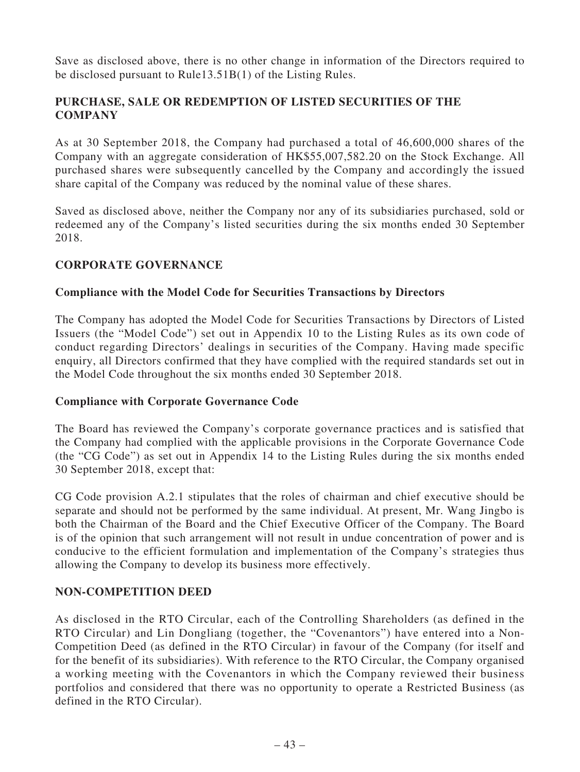Save as disclosed above, there is no other change in information of the Directors required to be disclosed pursuant to Rule13.51B(1) of the Listing Rules.

### **PURCHASE, SALE OR REDEMPTION OF LISTED SECURITIES OF THE COMPANY**

As at 30 September 2018, the Company had purchased a total of 46,600,000 shares of the Company with an aggregate consideration of HK\$55,007,582.20 on the Stock Exchange. All purchased shares were subsequently cancelled by the Company and accordingly the issued share capital of the Company was reduced by the nominal value of these shares.

Saved as disclosed above, neither the Company nor any of its subsidiaries purchased, sold or redeemed any of the Company's listed securities during the six months ended 30 September 2018.

### **CORPORATE GOVERNANCE**

### **Compliance with the Model Code for Securities Transactions by Directors**

The Company has adopted the Model Code for Securities Transactions by Directors of Listed Issuers (the "Model Code") set out in Appendix 10 to the Listing Rules as its own code of conduct regarding Directors' dealings in securities of the Company. Having made specific enquiry, all Directors confirmed that they have complied with the required standards set out in the Model Code throughout the six months ended 30 September 2018.

### **Compliance with Corporate Governance Code**

The Board has reviewed the Company's corporate governance practices and is satisfied that the Company had complied with the applicable provisions in the Corporate Governance Code (the "CG Code") as set out in Appendix 14 to the Listing Rules during the six months ended 30 September 2018, except that:

CG Code provision A.2.1 stipulates that the roles of chairman and chief executive should be separate and should not be performed by the same individual. At present, Mr. Wang Jingbo is both the Chairman of the Board and the Chief Executive Officer of the Company. The Board is of the opinion that such arrangement will not result in undue concentration of power and is conducive to the efficient formulation and implementation of the Company's strategies thus allowing the Company to develop its business more effectively.

### **NON-COMPETITION DEED**

As disclosed in the RTO Circular, each of the Controlling Shareholders (as defined in the RTO Circular) and Lin Dongliang (together, the "Covenantors") have entered into a Non-Competition Deed (as defined in the RTO Circular) in favour of the Company (for itself and for the benefit of its subsidiaries). With reference to the RTO Circular, the Company organised a working meeting with the Covenantors in which the Company reviewed their business portfolios and considered that there was no opportunity to operate a Restricted Business (as defined in the RTO Circular).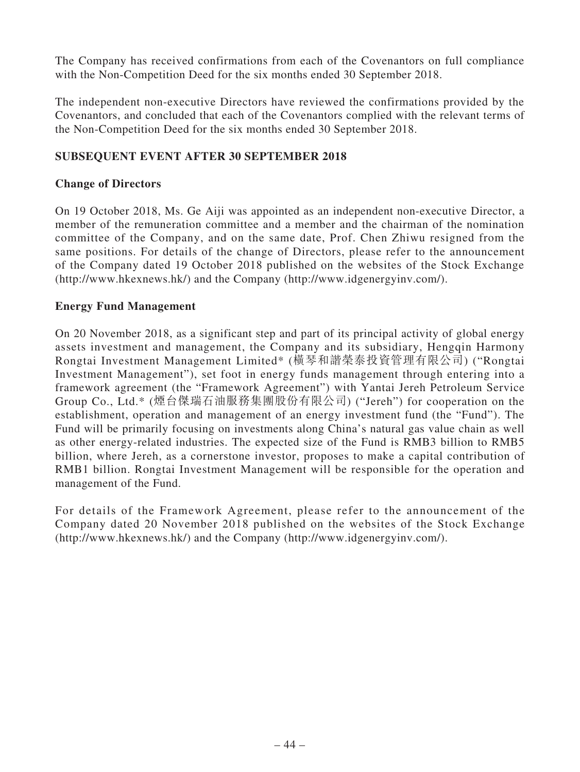The Company has received confirmations from each of the Covenantors on full compliance with the Non-Competition Deed for the six months ended 30 September 2018.

The independent non-executive Directors have reviewed the confirmations provided by the Covenantors, and concluded that each of the Covenantors complied with the relevant terms of the Non-Competition Deed for the six months ended 30 September 2018.

### **SUBSEQUENT EVENT AFTER 30 SEPTEMBER 2018**

#### **Change of Directors**

On 19 October 2018, Ms. Ge Aiji was appointed as an independent non-executive Director, a member of the remuneration committee and a member and the chairman of the nomination committee of the Company, and on the same date, Prof. Chen Zhiwu resigned from the same positions. For details of the change of Directors, please refer to the announcement of the Company dated 19 October 2018 published on the websites of the Stock Exchange (http://www.hkexnews.hk/) and the Company (http://www.idgenergyinv.com/).

#### **Energy Fund Management**

On 20 November 2018, as a significant step and part of its principal activity of global energy assets investment and management, the Company and its subsidiary, Hengqin Harmony Rongtai Investment Management Limited\* (橫琴和諧榮泰投資管理有限公司) ("Rongtai Investment Management"), set foot in energy funds management through entering into a framework agreement (the "Framework Agreement") with Yantai Jereh Petroleum Service Group Co., Ltd.\* (煙台傑瑞石油服務集團股份有限公司) ("Jereh") for cooperation on the establishment, operation and management of an energy investment fund (the "Fund"). The Fund will be primarily focusing on investments along China's natural gas value chain as well as other energy-related industries. The expected size of the Fund is RMB3 billion to RMB5 billion, where Jereh, as a cornerstone investor, proposes to make a capital contribution of RMB1 billion. Rongtai Investment Management will be responsible for the operation and management of the Fund.

For details of the Framework Agreement, please refer to the announcement of the Company dated 20 November 2018 published on the websites of the Stock Exchange (http://www.hkexnews.hk/) and the Company (http://www.idgenergyinv.com/).